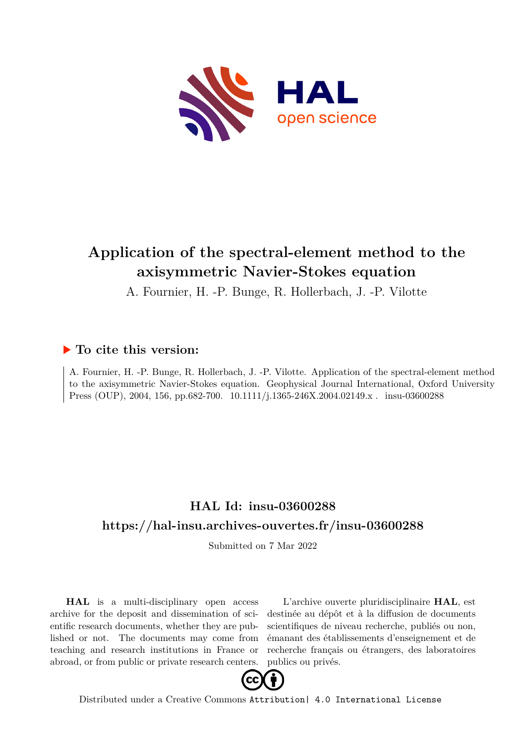

# **Application of the spectral-element method to the axisymmetric Navier-Stokes equation**

A. Fournier, H. -P. Bunge, R. Hollerbach, J. -P. Vilotte

# **To cite this version:**

A. Fournier, H. -P. Bunge, R. Hollerbach, J. -P. Vilotte. Application of the spectral-element method to the axisymmetric Navier-Stokes equation. Geophysical Journal International, Oxford University Press (OUP), 2004, 156, pp.682-700. 10.1111/j.1365-246X.2004.02149.x . insu-03600288

# **HAL Id: insu-03600288 <https://hal-insu.archives-ouvertes.fr/insu-03600288>**

Submitted on 7 Mar 2022

**HAL** is a multi-disciplinary open access archive for the deposit and dissemination of scientific research documents, whether they are published or not. The documents may come from teaching and research institutions in France or abroad, or from public or private research centers.

L'archive ouverte pluridisciplinaire **HAL**, est destinée au dépôt et à la diffusion de documents scientifiques de niveau recherche, publiés ou non, émanant des établissements d'enseignement et de recherche français ou étrangers, des laboratoires publics ou privés.



Distributed under a Creative Commons [Attribution| 4.0 International License](http://creativecommons.org/licenses/by/4.0/)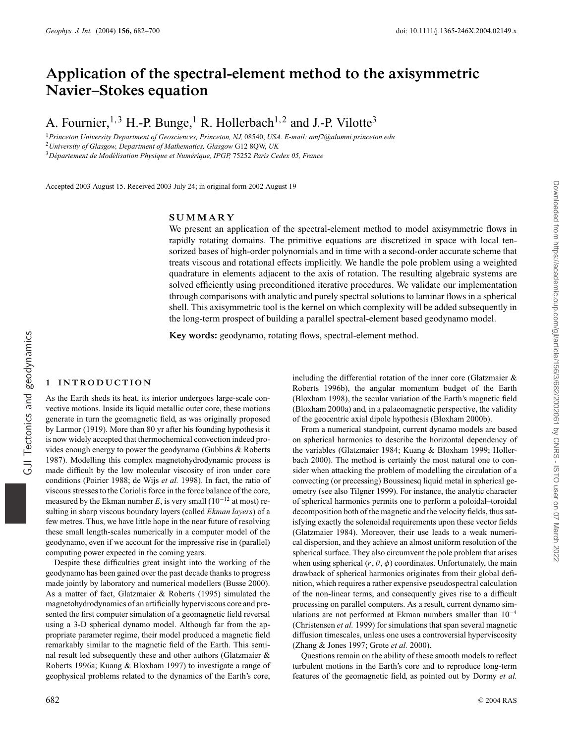# **Application of the spectral-element method to the axisymmetric Navier–Stokes equation**

A. Fournier,  $^{1,3}$  H.-P. Bunge,  $^{1}$  R. Hollerbach<sup>1,2</sup> and J.-P. Vilotte<sup>3</sup>

<sup>1</sup>*Princeton University Department of Geosciences, Princeton, NJ,* 08540, *USA. E-mail: amf2@alumni.princeton.edu* <sup>2</sup>*University of Glasgow, Department of Mathematics, Glasgow* G12 8QW, *UK* <sup>3</sup>*D´epartement de Mod´elisation Physique et Num´erique, IPGP,* 75252 *Paris Cedex 05, France*

Accepted 2003 August 15. Received 2003 July 24; in original form 2002 August 19

# **SUMMARY**

We present an application of the spectral-element method to model axisymmetric flows in rapidly rotating domains. The primitive equations are discretized in space with local tensorized bases of high-order polynomials and in time with a second-order accurate scheme that treats viscous and rotational effects implicitly. We handle the pole problem using a weighted quadrature in elements adjacent to the axis of rotation. The resulting algebraic systems are solved efficiently using preconditioned iterative procedures. We validate our implementation through comparisons with analytic and purely spectral solutions to laminar flows in a spherical shell. This axisymmetric tool is the kernel on which complexity will be added subsequently in the long-term prospect of building a parallel spectral-element based geodynamo model.

**Key words:** geodynamo, rotating flows, spectral-element method.

#### **1 INTRODUCTION**

GJI Tectonics and geodynamics

GJI Tectonics and geodynamics

As the Earth sheds its heat, its interior undergoes large-scale convective motions. Inside its liquid metallic outer core, these motions generate in turn the geomagnetic field, as was originally proposed by Larmor (1919). More than 80 yr after his founding hypothesis it is now widely accepted that thermochemical convection indeed provides enough energy to power the geodynamo (Gubbins & Roberts 1987). Modelling this complex magnetohydrodynamic process is made difficult by the low molecular viscosity of iron under core conditions (Poirier 1988; de Wijs *et al.* 1998). In fact, the ratio of viscous stresses to the Coriolis force in the force balance of the core, measured by the Ekman number *E*, is very small  $(10^{-12}$  at most) resulting in sharp viscous boundary layers (called *Ekman layers*) of a few metres. Thus, we have little hope in the near future of resolving these small length-scales numerically in a computer model of the geodynamo, even if we account for the impressive rise in (parallel) computing power expected in the coming years.

Despite these difficulties great insight into the working of the geodynamo has been gained over the past decade thanks to progress made jointly by laboratory and numerical modellers (Busse 2000). As a matter of fact, Glatzmaier & Roberts (1995) simulated the magnetohydrodynamics of an artificially hyperviscous core and presented the first computer simulation of a geomagnetic field reversal using a 3-D spherical dynamo model. Although far from the appropriate parameter regime, their model produced a magnetic field remarkably similar to the magnetic field of the Earth. This seminal result led subsequently these and other authors (Glatzmaier & Roberts 1996a; Kuang & Bloxham 1997) to investigate a range of geophysical problems related to the dynamics of the Earth's core,

including the differential rotation of the inner core (Glatzmaier & Roberts 1996b), the angular momentum budget of the Earth (Bloxham 1998), the secular variation of the Earth's magnetic field (Bloxham 2000a) and, in a palaeomagnetic perspective, the validity of the geocentric axial dipole hypothesis (Bloxham 2000b).

From a numerical standpoint, current dynamo models are based on spherical harmonics to describe the horizontal dependency of the variables (Glatzmaier 1984; Kuang & Bloxham 1999; Hollerbach 2000). The method is certainly the most natural one to consider when attacking the problem of modelling the circulation of a convecting (or precessing) Boussinesq liquid metal in spherical geometry (see also Tilgner 1999). For instance, the analytic character of spherical harmonics permits one to perform a poloidal–toroidal decomposition both of the magnetic and the velocity fields, thus satisfying exactly the solenoidal requirements upon these vector fields (Glatzmaier 1984). Moreover, their use leads to a weak numerical dispersion, and they achieve an almost uniform resolution of the spherical surface. They also circumvent the pole problem that arises when using spherical  $(r, \theta, \phi)$  coordinates. Unfortunately, the main drawback of spherical harmonics originates from their global definition, which requires a rather expensive pseudospectral calculation of the non-linear terms, and consequently gives rise to a difficult processing on parallel computers. As a result, current dynamo simulations are not performed at Ekman numbers smaller than  $10^{-4}$ (Christensen *et al.* 1999) for simulations that span several magnetic diffusion timescales, unless one uses a controversial hyperviscosity (Zhang & Jones 1997; Grote *et al.* 2000).

Questions remain on the ability of these smooth models to reflect turbulent motions in the Earth's core and to reproduce long-term features of the geomagnetic field, as pointed out by Dormy *et al.*

Downloaded from https://academic.oup.com/gji/article/156/3/682/2002061 by CNRS - ISTO user on 07 March 2022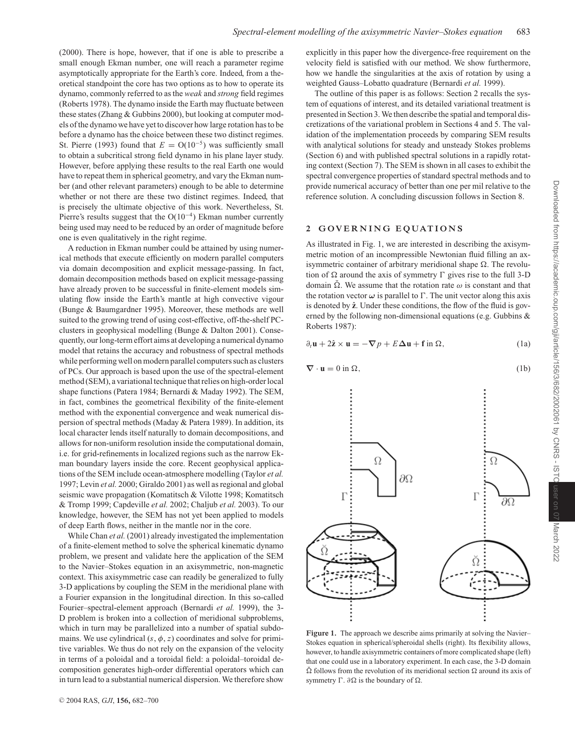(2000). There is hope, however, that if one is able to prescribe a small enough Ekman number, one will reach a parameter regime asymptotically appropriate for the Earth's core. Indeed, from a theoretical standpoint the core has two options as to how to operate its dynamo, commonly referred to as the *weak* and *strong* field regimes (Roberts 1978). The dynamo inside the Earth may fluctuate between these states (Zhang & Gubbins 2000), but looking at computer models of the dynamo we have yet to discover how large rotation has to be before a dynamo has the choice between these two distinct regimes. St. Pierre (1993) found that  $E = O(10^{-5})$  was sufficiently small to obtain a subcritical strong field dynamo in his plane layer study. However, before applying these results to the real Earth one would have to repeat them in spherical geometry, and vary the Ekman number (and other relevant parameters) enough to be able to determine whether or not there are these two distinct regimes. Indeed, that is precisely the ultimate objective of this work. Nevertheless, St. Pierre's results suggest that the  $O(10^{-4})$  Ekman number currently being used may need to be reduced by an order of magnitude before one is even qualitatively in the right regime.

A reduction in Ekman number could be attained by using numerical methods that execute efficiently on modern parallel computers via domain decomposition and explicit message-passing. In fact, domain decomposition methods based on explicit message-passing have already proven to be successful in finite-element models simulating flow inside the Earth's mantle at high convective vigour (Bunge & Baumgardner 1995). Moreover, these methods are well suited to the growing trend of using cost-effective, off-the-shelf PCclusters in geophysical modelling (Bunge & Dalton 2001). Consequently, our long-term effort aims at developing a numerical dynamo model that retains the accuracy and robustness of spectral methods while performing well on modern parallel computers such as clusters of PCs. Our approach is based upon the use of the spectral-element method (SEM), a variational technique that relies on high-order local shape functions (Patera 1984; Bernardi & Maday 1992). The SEM, in fact, combines the geometrical flexibility of the finite-element method with the exponential convergence and weak numerical dispersion of spectral methods (Maday & Patera 1989). In addition, its local character lends itself naturally to domain decompositions, and allows for non-uniform resolution inside the computational domain, i.e. for grid-refinements in localized regions such as the narrow Ekman boundary layers inside the core. Recent geophysical applications of the SEM include ocean-atmosphere modelling (Taylor *et al.* 1997; Levin *et al.* 2000; Giraldo 2001) as well as regional and global seismic wave propagation (Komatitsch & Vilotte 1998; Komatitsch & Tromp 1999; Capdeville *et al.* 2002; Chaljub *et al.* 2003). To our knowledge, however, the SEM has not yet been applied to models of deep Earth flows, neither in the mantle nor in the core.

While Chan *et al.* (2001) already investigated the implementation of a finite-element method to solve the spherical kinematic dynamo problem, we present and validate here the application of the SEM to the Navier–Stokes equation in an axisymmetric, non-magnetic context. This axisymmetric case can readily be generalized to fully 3-D applications by coupling the SEM in the meridional plane with a Fourier expansion in the longitudinal direction. In this so-called Fourier–spectral-element approach (Bernardi *et al.* 1999), the 3- D problem is broken into a collection of meridional subproblems, which in turn may be parallelized into a number of spatial subdomains. We use cylindrical  $(s, \phi, z)$  coordinates and solve for primitive variables. We thus do not rely on the expansion of the velocity in terms of a poloidal and a toroidal field: a poloidal–toroidal decomposition generates high-order differential operators which can in turn lead to a substantial numerical dispersion. We therefore show

explicitly in this paper how the divergence-free requirement on the velocity field is satisfied with our method. We show furthermore, how we handle the singularities at the axis of rotation by using a weighted Gauss–Lobatto quadrature (Bernardi *et al.* 1999).

The outline of this paper is as follows: Section 2 recalls the system of equations of interest, and its detailed variational treatment is presented in Section 3. We then describe the spatial and temporal discretizations of the variational problem in Sections 4 and 5. The validation of the implementation proceeds by comparing SEM results with analytical solutions for steady and unsteady Stokes problems (Section 6) and with published spectral solutions in a rapidly rotating context (Section 7). The SEM is shown in all cases to exhibit the spectral convergence properties of standard spectral methods and to provide numerical accuracy of better than one per mil relative to the reference solution. A concluding discussion follows in Section 8.

# **2 GOVERNING EQUATIONS**

Ω

Γ

As illustrated in Fig. 1, we are interested in describing the axisymmetric motion of an incompressible Newtonian fluid filling an axisymmetric container of arbitrary meridional shape  $\Omega$ . The revolution of  $\Omega$  around the axis of symmetry  $\Gamma$  gives rise to the full 3-D domain  $\Omega$ . We assume that the rotation rate  $\omega$  is constant and that the rotation vector  $\omega$  is parallel to  $\Gamma$ . The unit vector along this axis is denoted by  $\hat{z}$ . Under these conditions, the flow of the fluid is governed by the following non-dimensional equations (e.g. Gubbins & Roberts 1987):

$$
\partial_t \mathbf{u} + 2\hat{\mathbf{z}} \times \mathbf{u} = -\nabla p + E\Delta \mathbf{u} + \mathbf{f} \text{ in } \Omega,
$$
 (1a)

$$
\nabla \cdot \mathbf{u} = 0 \text{ in } \Omega,
$$
 (1b)

дΩ



Ω

 $\partial \Omega$ 

Г

Ω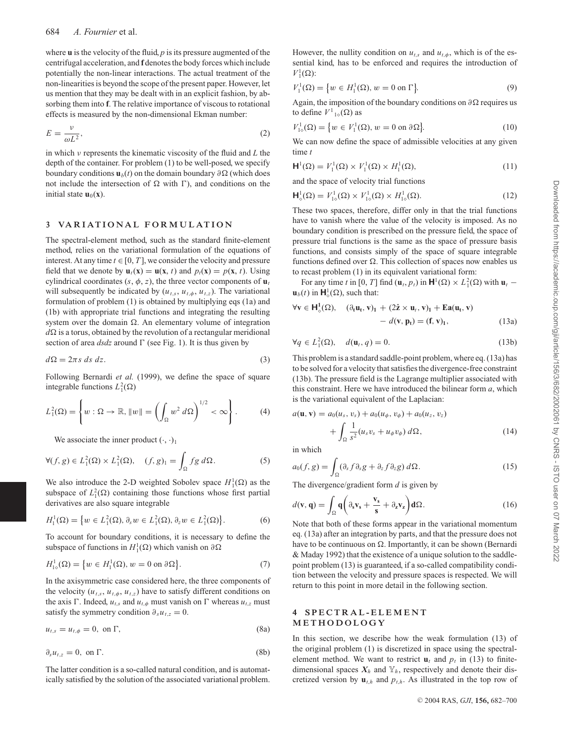where **u** is the velocity of the fluid, *p* is its pressure augmented of the centrifugal acceleration, and **f** denotes the body forces which include potentially the non-linear interactions. The actual treatment of the non-linearities is beyond the scope of the present paper. However, let us mention that they may be dealt with in an explicit fashion, by absorbing them into **f**. The relative importance of viscous to rotational effects is measured by the non-dimensional Ekman number:

$$
E = \frac{v}{\omega L^2},\tag{2}
$$

in which ν represents the kinematic viscosity of the fluid and *L* the depth of the container. For problem (1) to be well-posed, we specify boundary conditions  $\mathbf{u}_b(t)$  on the domain boundary ∂ $\Omega$  (which does not include the intersection of  $\Omega$  with  $\Gamma$ ), and conditions on the initial state  $\mathbf{u}_0(\mathbf{x})$ .

#### **3 VARIATIONAL FORMULATION**

The spectral-element method, such as the standard finite-element method, relies on the variational formulation of the equations of interest. At any time  $t \in [0, T]$ , we consider the velocity and pressure field that we denote by  $\mathbf{u}_t(\mathbf{x}) = \mathbf{u}(\mathbf{x}, t)$  and  $p_t(\mathbf{x}) = p(\mathbf{x}, t)$ . Using cylindrical coordinates  $(s, \phi, z)$ , the three vector components of  $\mathbf{u}_t$ will subsequently be indicated by  $(u_{t,s}, u_{t,\phi}, u_{t,z})$ . The variational formulation of problem (1) is obtained by multiplying eqs (1a) and (1b) with appropriate trial functions and integrating the resulting system over the domain  $\Omega$ . An elementary volume of integration  $d\Omega$  is a torus, obtained by the revolution of a rectangular meridional section of area  $dsdz$  around  $\Gamma$  (see Fig. 1). It is thus given by

$$
d\Omega = 2\pi s \, ds \, dz. \tag{3}
$$

Following Bernardi *et al.* (1999), we define the space of square integrable functions  $L_1^2(\Omega)$ 

$$
L_1^2(\Omega) = \left\{ w : \Omega \to \mathbb{R}, \|w\| = \left( \int_{\Omega} w^2 \, d\Omega \right)^{1/2} < \infty \right\}. \tag{4}
$$

We associate the inner product  $(\cdot, \cdot)_1$ 

$$
\forall (f,g) \in L_1^2(\Omega) \times L_1^2(\Omega), \quad (f,g)_1 = \int_{\Omega} fg \, d\Omega. \tag{5}
$$

We also introduce the 2-D weighted Sobolev space  $H_1^1(\Omega)$  as the subspace of  $L_1^2(\Omega)$  containing those functions whose first partial derivatives are also square integrable

$$
H_1^1(\Omega) = \left\{ w \in L_1^2(\Omega), \partial_s w \in L_1^2(\Omega), \partial_z w \in L_1^2(\Omega) \right\}.
$$
 (6)

To account for boundary conditions, it is necessary to define the subspace of functions in  $H_1^1(\Omega)$  which vanish on  $\partial\Omega$ 

$$
H_{1\circ}^1(\Omega) = \{ w \in H_1^1(\Omega), w = 0 \text{ on } \partial \Omega \}.
$$
 (7)

In the axisymmetric case considered here, the three components of the velocity  $(u_{t,s}, u_{t,\phi}, u_{t,z})$  have to satisfy different conditions on the axis  $\Gamma$ . Indeed,  $u_{t,s}$  and  $u_{t,\phi}$  must vanish on  $\Gamma$  whereas  $u_{t,z}$  must satisfy the symmetry condition  $\partial_s u_{t,z} = 0$ .

$$
u_{t,s} = u_{t,\phi} = 0, \text{ on } \Gamma,
$$
\n(8a)

$$
\partial_s u_{t,z} = 0, \text{ on } \Gamma. \tag{8b}
$$

The latter condition is a so-called natural condition, and is automatically satisfied by the solution of the associated variational problem. However, the nullity condition on  $u_{t,s}$  and  $u_{t,\phi}$ , which is of the essential kind, has to be enforced and requires the introduction of  $V_1^1(\Omega)$ :

$$
V_1^1(\Omega) = \{ w \in H_1^1(\Omega), w = 0 \text{ on } \Gamma \}. \tag{9}
$$

Again, the imposition of the boundary conditions on  $\partial \Omega$  requires us to define  $V^1_{1\diamond}(\Omega)$  as

$$
V_{1\diamond}^1(\Omega) = \left\{ w \in V_1^1(\Omega), w = 0 \text{ on } \partial \Omega \right\}.
$$
 (10)

We can now define the space of admissible velocities at any given time *t*

$$
\mathbf{H}^{1}(\Omega) = V_{1}^{1}(\Omega) \times V_{1}^{1}(\Omega) \times H_{1}^{1}(\Omega), \tag{11}
$$

and the space of velocity trial functions

$$
\mathbf{H}_{\diamond}^{1}(\Omega) = V_{1\diamond}^{1}(\Omega) \times V_{1\diamond}^{1}(\Omega) \times H_{1\diamond}^{1}(\Omega).
$$
 (12)

These two spaces, therefore, differ only in that the trial functions have to vanish where the value of the velocity is imposed. As no boundary condition is prescribed on the pressure field, the space of pressure trial functions is the same as the space of pressure basis functions, and consists simply of the space of square integrable functions defined over  $\Omega$ . This collection of spaces now enables us to recast problem (1) in its equivalent variational form:

For any time *t* in [0, *T*] find  $(\mathbf{u}_t, p_t)$  in  $\mathbf{H}^1(\Omega) \times L^2(\Omega)$  with  $\mathbf{u}_t$  –  $\mathbf{u}_b(t)$  in  $\mathbf{H}^1_{\diamond}(\Omega)$ , such that:

$$
\forall \mathbf{v} \in \mathbf{H}^{1}_{\diamond}(\Omega), \quad (\partial_{t}\mathbf{u}_{t}, \mathbf{v})_{1} + (2\hat{\mathbf{z}} \times \mathbf{u}_{t}, \mathbf{v})_{1} + \mathbf{E}\mathbf{a}(\mathbf{u}_{t}, \mathbf{v}) - d(\mathbf{v}, \mathbf{p}_{t}) = (\mathbf{f}, \mathbf{v})_{1}, \tag{13a}
$$

$$
\forall q \in L_1^2(\Omega), \quad d(\mathbf{u}_t, q) = 0. \tag{13b}
$$

This problem is a standard saddle-point problem, where eq. (13a) has to be solved for a velocity that satisfies the divergence-free constraint (13b). The pressure field is the Lagrange multiplier associated with this constraint. Here we have introduced the bilinear form *a*, which is the variational equivalent of the Laplacian:

$$
a(\mathbf{u}, \mathbf{v}) = a_0(u_s, v_s) + a_0(u_{\phi}, v_{\phi}) + a_0(u_z, v_z) + \int_{\Omega} \frac{1}{s^2} (u_s v_s + u_{\phi} v_{\phi}) d\Omega,
$$
 (14)

in which

$$
a_0(f,g) = \int_{\Omega} (\partial_s f \partial_s g + \partial_z f \partial_z g) d\Omega.
$$
 (15)

The divergence/gradient form *d* is given by

$$
d(\mathbf{v}, \mathbf{q}) = \int_{\Omega} \mathbf{q} \left( \partial_s \mathbf{v}_s + \frac{\mathbf{v}_s}{\mathbf{s}} + \partial_z \mathbf{v}_z \right) \mathbf{d}\Omega.
$$
 (16)

Note that both of these forms appear in the variational momentum eq. (13a) after an integration by parts, and that the pressure does not have to be continuous on  $\Omega$ . Importantly, it can be shown (Bernardi & Maday 1992) that the existence of a unique solution to the saddlepoint problem (13) is guaranteed, if a so-called compatibility condition between the velocity and pressure spaces is respected. We will return to this point in more detail in the following section.

# **4 SPECTRAL-ELEMENT METHODOLOGY**

In this section, we describe how the weak formulation (13) of the original problem (1) is discretized in space using the spectralelement method. We want to restrict  $\mathbf{u}_t$  and  $p_t$  in (13) to finitedimensional spaces  $X_h$  and  $Y_h$ , respectively and denote their discretized version by  $\mathbf{u}_{t,h}$  and  $p_{t,h}$ . As illustrated in the top row of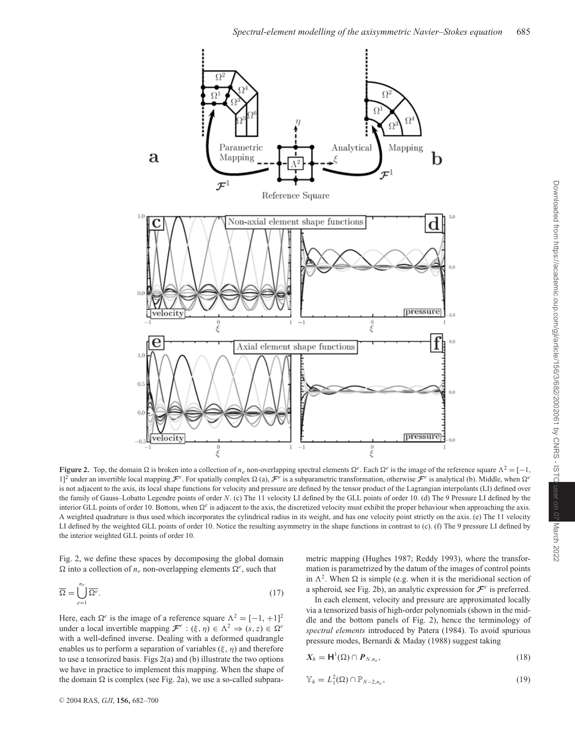

**Figure 2.** Top, the domain  $\Omega$  is broken into a collection of *n<sub>e</sub>* non-overlapping spectral elements  $\Omega^e$ . Each  $\Omega^e$  is the image of the reference square  $\Lambda^2 = [-1, 1]$ 1]<sup>2</sup> under an invertible local mapping  $\mathcal{F}^e$ . For spatially complex  $\Omega$  (a),  $\mathcal{F}^e$  is a subparametric transformation, otherwise  $\mathcal{F}^e$  is analytical (b). Middle, when  $\Omega^e$ is not adjacent to the axis, its local shape functions for velocity and pressure are defined by the tensor product of the Lagrangian interpolants (LI) defined over the family of Gauss–Lobatto Legendre points of order *N*. (c) The 11 velocity LI defined by the GLL points of order 10. (d) The 9 Pressure LI defined by the interior GLL points of order 10. Bottom, when  $\Omega^e$  is adjacent to the axis, the discretized velocity must exhibit the proper behaviour when approaching the axis. A weighted quadrature is thus used which incorporates the cylindrical radius in its weight, and has one velocity point strictly on the axis. (e) The 11 velocity LI defined by the weighted GLL points of order 10. Notice the resulting asymmetry in the shape functions in contrast to (c). (f) The 9 pressure LI defined by the interior weighted GLL points of order 10.

Fig. 2, we define these spaces by decomposing the global domain  $\Omega$  into a collection of  $n_e$  non-overlapping elements  $\Omega^e$ , such that

$$
\overline{\Omega} = \bigcup_{e=1}^{n_e} \overline{\Omega^e}.
$$
\n(17)

Here, each  $\Omega^e$  is the image of a reference square  $\Lambda^2 = [-1, +1]^2$ under a local invertible mapping  $\mathcal{F}^e$  :  $(\xi, \eta) \in \Lambda^2 \Rightarrow (s, z) \in \Omega^e$ with a well-defined inverse. Dealing with a deformed quadrangle enables us to perform a separation of variables  $(\xi, \eta)$  and therefore to use a tensorized basis. Figs 2(a) and (b) illustrate the two options we have in practice to implement this mapping. When the shape of the domain  $\Omega$  is complex (see Fig. 2a), we use a so-called subparametric mapping (Hughes 1987; Reddy 1993), where the transformation is parametrized by the datum of the images of control points in  $\Lambda^2$ . When  $\Omega$  is simple (e.g. when it is the meridional section of a spheroid, see Fig. 2b), an analytic expression for  $\mathcal{F}^e$  is preferred.

In each element, velocity and pressure are approximated locally via a tensorized basis of high-order polynomials (shown in the middle and the bottom panels of Fig. 2), hence the terminology of *spectral elements* introduced by Patera (1984). To avoid spurious pressure modes, Bernardi & Maday (1988) suggest taking

$$
X_h = \mathsf{H}^1(\Omega) \cap P_{N,n_e},\tag{18}
$$

$$
\mathbb{Y}_h = L_1^2(\Omega) \cap \mathbb{P}_{N-2,n_e},\tag{19}
$$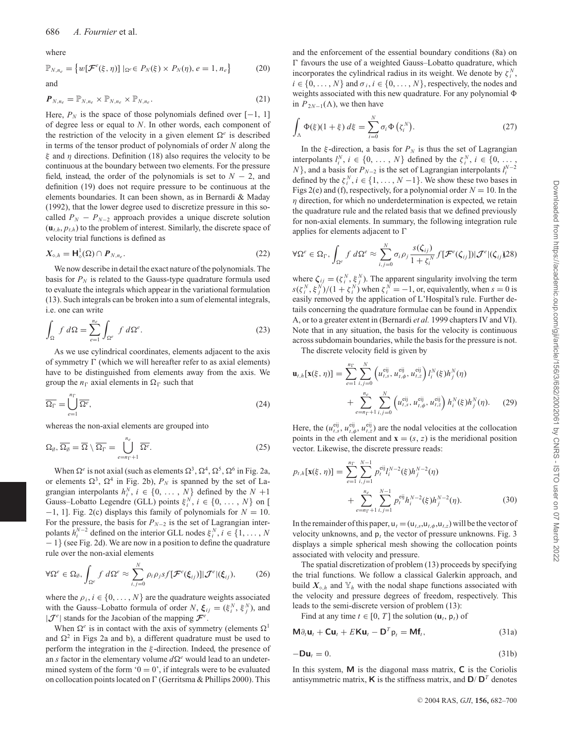where

$$
\mathbb{P}_{N,n_e} = \{ w[\mathcal{F}^e(\xi,\eta)] \mid_{\Omega^e} \in P_N(\xi) \times P_N(\eta), e = 1, n_e \}
$$
 (20)  
and

$$
\boldsymbol{P}_{N,n_e} = \mathbb{P}_{N,n_e} \times \mathbb{P}_{N,n_e} \times \mathbb{P}_{N,n_e}.
$$
 (21)

Here,  $P_N$  is the space of those polynomials defined over  $[-1, 1]$ of degree less or equal to *N*. In other words, each component of the restriction of the velocity in a given element  $\Omega^e$  is described in terms of the tensor product of polynomials of order *N* along the ξ and η directions. Definition (18) also requires the velocity to be continuous at the boundary between two elements. For the pressure field, instead, the order of the polynomials is set to  $N-2$ , and definition (19) does not require pressure to be continuous at the elements boundaries. It can been shown, as in Bernardi & Maday (1992), that the lower degree used to discretize pressure in this socalled  $P_N - P_{N-2}$  approach provides a unique discrete solution  $(\mathbf{u}_{t,h}, p_{t,h})$  to the problem of interest. Similarly, the discrete space of velocity trial functions is defined as

$$
X_{\diamond,h} = \mathsf{H}^1_{\diamond}(\Omega) \cap P_{N,n_e}.\tag{22}
$$

We now describe in detail the exact nature of the polynomials. The basis for  $P_N$  is related to the Gauss-type quadrature formula used to evaluate the integrals which appear in the variational formulation (13). Such integrals can be broken into a sum of elemental integrals, i.e. one can write

$$
\int_{\Omega} f \, d\Omega = \sum_{e=1}^{n_e} \int_{\Omega^e} f \, d\Omega^e. \tag{23}
$$

As we use cylindrical coordinates, elements adjacent to the axis of symmetry  $\Gamma$  (which we will hereafter refer to as axial elements) have to be distinguished from elements away from the axis. We group the  $n_{\Gamma}$  axial elements in  $\Omega_{\Gamma}$  such that

$$
\overline{\Omega_{\Gamma}} = \bigcup_{e=1}^{n_{\Gamma}} \overline{\Omega^{e}},\tag{24}
$$

whereas the non-axial elements are grouped into

$$
\Omega_{\emptyset}, \overline{\Omega_{\emptyset}} = \overline{\Omega} \setminus \overline{\Omega_{\Gamma}} = \bigcup_{e=n_{\Gamma}+1}^{n_e} \overline{\Omega^e}.
$$
 (25)

When  $\Omega^e$  is not axial (such as elements  $\Omega^3$ ,  $\Omega^4$ ,  $\Omega^5$ ,  $\Omega^6$  in Fig. 2a, or elements  $\Omega^3$ ,  $\Omega^4$  in Fig. 2b),  $P_N$  is spanned by the set of Lagrangian interpolants  $h_i^N$ ,  $i \in \{0, ..., N\}$  defined by the  $N + 1$ Gauss–Lobatto Legendre (GLL) points  $\xi_i^N$ ,  $i \in \{0, ..., N\}$  on [ −1, 1]. Fig. 2(c) displays this family of polynomials for *N* = 10. For the pressure, the basis for  $P_{N-2}$  is the set of Lagrangian interpolants  $h_i^{N-2}$  defined on the interior GLL nodes  $\xi_i^N$ ,  $i \in \{1, ..., N\}$ − 1} (see Fig. 2d). We are now in a position to define the quadrature rule over the non-axial elements

$$
\forall \Omega^e \in \Omega_{\emptyset}, \int_{\Omega^e} f \, d\Omega^e \approx \sum_{i,j=0}^N \rho_i \rho_j s f[\mathcal{F}^e(\xi_{ij})]|\mathcal{J}^e|(\xi_{ij}),\tag{26}
$$

where the  $\rho_i$ ,  $i \in \{0, ..., N\}$  are the quadrature weights associated with the Gauss–Lobatto formula of order *N*,  $\xi_{ij} = (\xi_i^N, \xi_j^N)$ , and  $|\mathcal{J}^e|$  stands for the Jacobian of the mapping  $\mathcal{F}^e$ .

When  $\Omega^e$  is in contact with the axis of symmetry (elements  $\Omega^1$ and  $\Omega^2$  in Figs 2a and b), a different quadrature must be used to perform the integration in the ξ -direction. Indeed, the presence of an *s* factor in the elementary volume  $d\Omega^e$  would lead to an undetermined system of the form ' $0 = 0$ ', if integrals were to be evaluated on collocation points located on  $\Gamma$  (Gerritsma & Phillips 2000). This and the enforcement of the essential boundary conditions (8a) on  $\Gamma$  favours the use of a weighted Gauss–Lobatto quadrature, which incorporates the cylindrical radius in its weight. We denote by  $\zeta_i^N$ ,  $i \in \{0, \ldots, N\}$  and  $\sigma_i, i \in \{0, \ldots, N\}$ , respectively, the nodes and weights associated with this new quadrature. For any polynomial  $\Phi$ in  $P_{2N-1}(\Lambda)$ , we then have

$$
\int_{\Lambda} \Phi(\xi)(1+\xi) d\xi = \sum_{i=0}^{N} \sigma_i \Phi(\zeta_i^N). \tag{27}
$$

In the  $\xi$ -direction, a basis for  $P_N$  is thus the set of Lagrangian interpolants  $l_i^N$ ,  $i \in \{0, ..., N\}$  defined by the  $\zeta_i^N$ ,  $i \in \{0, ...,$ *N*}, and a basis for  $P_{N-2}$  is the set of Lagrangian interpolants  $l_i^{N-2}$ defined by the  $\zeta_i^N$ ,  $i \in \{1, \dots, N-1\}$ . We show these two bases in Figs 2(e) and (f), respectively, for a polynomial order  $N = 10$ . In the  $\eta$  direction, for which no underdetermination is expected, we retain the quadrature rule and the related basis that we defined previously for non-axial elements. In summary, the following integration rule applies for elements adjacent to  $\Gamma$ 

$$
\forall \Omega^e \in \Omega_{\Gamma}, \int_{\Omega^e} f \, d\Omega^e \approx \sum_{i,j=0}^N \sigma_i \rho_j \frac{s(\zeta_{ij})}{1+\zeta_i^N} f[\mathcal{F}^e(\zeta_{ij}])|\mathcal{J}^e|(\zeta_{ij})\hat{\chi}^{28}\hat{\chi}^{28}
$$

where  $\zeta_{ij} = (\zeta_i^N, \xi_j^N)$ . The apparent singularity involving the term  $s(\zeta_i^N, \xi_j^N)/(1 + \zeta_i^N)$  when  $\zeta_i^N = -1$ , or, equivalently, when  $s = 0$  is easily removed by the application of L'Hospital's rule. Further details concerning the quadrature formulae can be found in Appendix A, or to a greater extent in (Bernardi *et al.* 1999 chapters IV and VI). Note that in any situation, the basis for the velocity is continuous across subdomain boundaries, while the basis for the pressure is not.

The discrete velocity field is given by

$$
\mathbf{u}_{t,h}[\mathbf{x}(\xi,\,\eta)] = \sum_{e=1}^{n_{\Gamma}} \sum_{i,j=0}^{N} \left( u_{t,s}^{eij}, u_{t,\phi}^{eij}, u_{t,z}^{eij} \right) l_{i}^{N}(\xi) h_{j}^{N}(\eta) + \sum_{e=n_{\Gamma}+1}^{n_{e}} \sum_{i,j=0}^{N} \left( u_{t,s}^{eij}, u_{t,\phi}^{eij}, u_{t,z}^{eij} \right) h_{i}^{N}(\xi) h_{j}^{N}(\eta). \tag{29}
$$

Here, the  $(u_{t,s}^{\text{eij}}, u_{t,\phi}^{\text{eij}}, u_{t,z}^{\text{eij}})$  are the nodal velocities at the collocation points in the *e*th element and  $\mathbf{x} = (s, z)$  is the meridional position vector. Likewise, the discrete pressure reads:

$$
p_{t,h}[\mathbf{x}(\xi,\eta)] = \sum_{e=1}^{n} \sum_{i,j=1}^{N-1} p_t^{eij} l_i^{N-2}(\xi) h_j^{N-2}(\eta) + \sum_{e=n}^{n} \sum_{i,j=1}^{n} p_t^{eij} h_i^{N-2}(\xi) h_j^{N-2}(\eta).
$$
 (30)

In the remainder of this paper,  $u_t = (u_{t,s}, u_{t,\phi}, u_{t,z})$  will be the vector of velocity unknowns, and  $p_t$  the vector of pressure unknowns. Fig. 3 displays a simple spherical mesh showing the collocation points associated with velocity and pressure.

The spatial discretization of problem (13) proceeds by specifying the trial functions. We follow a classical Galerkin approach, and build  $X_{\diamond,h}$  and  $Y_h$  with the nodal shape functions associated with the velocity and pressure degrees of freedom, respectively. This leads to the semi-discrete version of problem (13):

Find at any time  $t \in [0, T]$  the solution  $(\mathbf{u}_t, \mathbf{p}_t)$  of

$$
\mathbf{M}\partial_t \mathbf{u}_t + \mathbf{C}\mathbf{u}_t + E\mathbf{K}\mathbf{u}_t - \mathbf{D}^T \mathbf{p}_t = \mathbf{M}\mathbf{f}_t, \tag{31a}
$$

$$
-\mathbf{D}\mathbf{u}_t = 0. \tag{31b}
$$

In this system, **M** is the diagonal mass matrix, **C** is the Coriolis antisymmetric matrix, **K** is the stiffness matrix, and  $D/D<sup>T</sup>$  denotes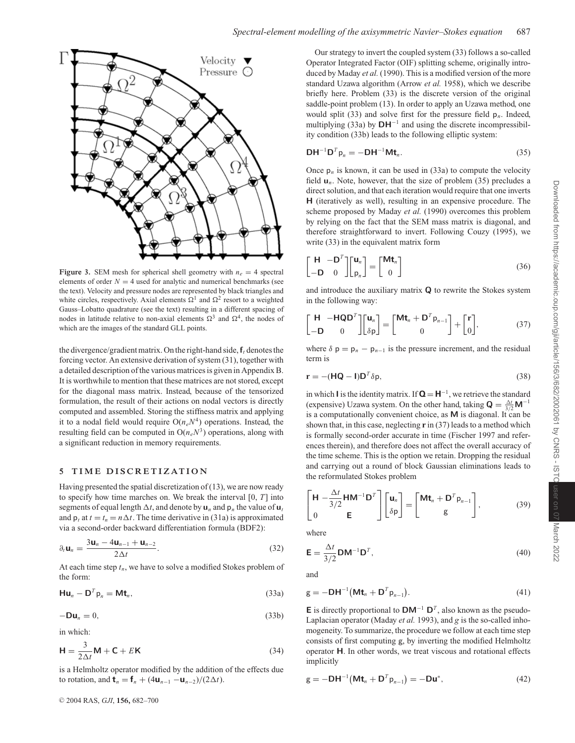

**Figure 3.** SEM mesh for spherical shell geometry with  $n_e = 4$  spectral elements of order  $N = 4$  used for analytic and numerical benchmarks (see the text). Velocity and pressure nodes are represented by black triangles and white circles, respectively. Axial elements  $\Omega^1$  and  $\Omega^2$  resort to a weighted Gauss–Lobatto quadrature (see the text) resulting in a different spacing of nodes in latitude relative to non-axial elements  $\Omega^3$  and  $\Omega^4$ , the nodes of which are the images of the standard GLL points.

the divergence/gradient matrix. On the right-hand side,  $f_t$  denotes the forcing vector. An extensive derivation of system (31), together with a detailed description of the various matrices is given in Appendix B. It is worthwhile to mention that these matrices are not stored, except for the diagonal mass matrix. Instead, because of the tensorized formulation, the result of their actions on nodal vectors is directly computed and assembled. Storing the stiffness matrix and applying it to a nodal field would require  $O(n_eN^4)$  operations. Instead, the resulting field can be computed in  $O(n_eN^3)$  operations, along with a significant reduction in memory requirements.

#### **5 TIME DISCRETIZATION**

Having presented the spatial discretization of  $(13)$ , we are now ready to specify how time marches on. We break the interval [0, *T*] into segments of equal length  $\Delta t$ , and denote by  $\mathbf{u}_n$  and  $\mathbf{p}_n$  the value of  $\mathbf{u}_t$ and  $p_t$  at  $t = t_n = n \Delta t$ . The time derivative in (31a) is approximated via a second-order backward differentiation formula (BDF2):

$$
\partial_t \mathbf{u}_n = \frac{3\mathbf{u}_n - 4\mathbf{u}_{n-1} + \mathbf{u}_{n-2}}{2\Delta t}.
$$
 (32)

At each time step  $t_n$ , we have to solve a modified Stokes problem of the form:

$$
Hu_n - D^T p_n = Mt_n,
$$
\n(33a)

$$
-\mathbf{D}\mathbf{u}_n = 0,\tag{33b}
$$

in which:

$$
\mathbf{H} = \frac{3}{2\Delta t} \mathbf{M} + \mathbf{C} + E \mathbf{K}
$$
 (34)

is a Helmholtz operator modified by the addition of the effects due to rotation, and  $\mathbf{t}_n = \mathbf{f}_n + (4\mathbf{u}_{n-1} - \mathbf{u}_{n-2})/(2\Delta t)$ .

Our strategy to invert the coupled system (33) follows a so-called Operator Integrated Factor (OIF) splitting scheme, originally introduced by Maday *et al.* (1990). This is a modified version of the more standard Uzawa algorithm (Arrow *et al.* 1958), which we describe briefly here. Problem (33) is the discrete version of the original saddle-point problem (13). In order to apply an Uzawa method, one would split (33) and solve first for the pressure field  $p_n$ . Indeed, multiplying (33a) by **DH**<sup>−</sup><sup>1</sup> and using the discrete incompressibility condition (33b) leads to the following elliptic system:

$$
\mathbf{DH}^{-1}\mathbf{D}^T\mathbf{p}_n = -\mathbf{DH}^{-1}\mathbf{Mt}_n.
$$
 (35)

Once  $p_n$  is known, it can be used in (33a) to compute the velocity field  $\mathbf{u}_n$ . Note, however, that the size of problem (35) precludes a direct solution, and that each iteration would require that one inverts **H** (iteratively as well), resulting in an expensive procedure. The scheme proposed by Maday *et al.* (1990) overcomes this problem by relying on the fact that the SEM mass matrix is diagonal, and therefore straightforward to invert. Following Couzy (1995), we write (33) in the equivalent matrix form

$$
\begin{bmatrix} \mathbf{H} & -\mathbf{D}^T \\ -\mathbf{D} & 0 \end{bmatrix} \begin{bmatrix} \mathbf{u}_n \\ \mathbf{p}_n \end{bmatrix} = \begin{bmatrix} \mathbf{M} \mathbf{t}_n \\ 0 \end{bmatrix}
$$
 (36)

and introduce the auxiliary matrix **Q** to rewrite the Stokes system in the following way:

$$
\begin{bmatrix} \mathbf{H} & -\mathbf{HQD}^T \\ -\mathbf{D} & 0 \end{bmatrix} \begin{bmatrix} \mathbf{u}_n \\ \delta \mathbf{p} \end{bmatrix} = \begin{bmatrix} \mathbf{Mt}_n + \mathbf{D}^T \mathbf{p}_{n-1} \\ 0 \end{bmatrix} + \begin{bmatrix} \mathbf{r} \\ 0 \end{bmatrix},
$$
(37)

where  $\delta p = p_n - p_{n-1}$  is the pressure increment, and the residual term is

$$
\mathbf{r} = -(\mathbf{H}\mathbf{Q} - \mathbf{I})\mathbf{D}^T \delta \mathbf{p},\tag{38}
$$

in which **I** is the identity matrix. If  $Q = H^{-1}$ , we retrieve the standard (expensive) Uzawa system. On the other hand, taking  $\mathbf{Q} = \frac{\Delta t}{3/2} \mathbf{M}^{-1}$ is a computationally convenient choice, as **M** is diagonal. It can be shown that, in this case, neglecting **r** in (37) leads to a method which is formally second-order accurate in time (Fischer 1997 and references therein), and therefore does not affect the overall accuracy of the time scheme. This is the option we retain. Dropping the residual and carrying out a round of block Gaussian eliminations leads to the reformulated Stokes problem

$$
\begin{bmatrix} \mathbf{H} - \frac{\Delta t}{3/2} \mathbf{H} \mathbf{M}^{-1} \mathbf{D}^T \\ 0 & \mathbf{E} \end{bmatrix} \begin{bmatrix} \mathbf{u}_n \\ \delta \mathbf{p} \end{bmatrix} = \begin{bmatrix} \mathbf{M} \mathbf{t}_n + \mathbf{D}^T \mathbf{p}_{n-1} \\ \mathbf{g} \end{bmatrix},
$$
(39)

where

$$
\mathbf{E} = \frac{\Delta t}{3/2} \mathbf{D} \mathbf{M}^{-1} \mathbf{D}^T,
$$
\n(40)

and

$$
\mathbf{g} = -\mathbf{D}\mathbf{H}^{-1}(\mathbf{M}\mathbf{t}_n + \mathbf{D}^T \mathbf{p}_{n-1}).
$$
\n(41)

**E** is directly proportional to  $DM^{-1} D^T$ , also known as the pseudo-Laplacian operator (Maday *et al.* 1993), and *g* is the so-called inhomogeneity. To summarize, the procedure we follow at each time step consists of first computing g, by inverting the modified Helmholtz operator **H**. In other words, we treat viscous and rotational effects implicitly

$$
\mathbf{g} = -\mathbf{D}\mathbf{H}^{-1}(\mathbf{M}\mathbf{t}_n + \mathbf{D}^T \mathbf{p}_{n-1}) = -\mathbf{D}\mathbf{u}^*,\tag{42}
$$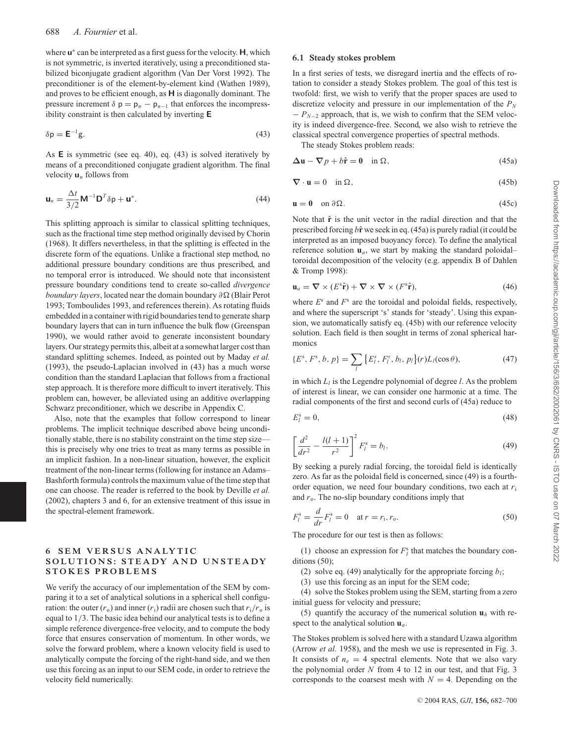where **u**<sup>∗</sup> can be interpreted as a first guess for the velocity. **H**, which is not symmetric, is inverted iteratively, using a preconditioned stabilized biconjugate gradient algorithm (Van Der Vorst 1992). The preconditioner is of the element-by-element kind (Wathen 1989), and proves to be efficient enough, as **H** is diagonally dominant. The pressure increment  $\delta$   $p = p_n - p_{n-1}$  that enforces the incompressibility constraint is then calculated by inverting **E**

$$
\delta p = E^{-1}g.
$$
\n(43)

As **E** is symmetric (see eq. 40), eq. (43) is solved iteratively by means of a preconditioned conjugate gradient algorithm. The final velocity **u***<sup>n</sup>* follows from

$$
\mathbf{u}_n = \frac{\Delta t}{3/2} \mathbf{M}^{-1} \mathbf{D}^T \delta \mathbf{p} + \mathbf{u}^*.
$$
 (44)

This splitting approach is similar to classical splitting techniques, such as the fractional time step method originally devised by Chorin (1968). It differs nevertheless, in that the splitting is effected in the discrete form of the equations. Unlike a fractional step method, no additional pressure boundary conditions are thus prescribed, and no temporal error is introduced. We should note that inconsistent pressure boundary conditions tend to create so-called *divergence boundary layers*, located near the domain boundary ∂Ω (Blair Perot 1993; Tomboulides 1993, and references therein). As rotating fluids embedded in a container with rigid boundaries tend to generate sharp boundary layers that can in turn influence the bulk flow (Greenspan 1990), we would rather avoid to generate inconsistent boundary layers. Our strategy permits this, albeit at a somewhat larger cost than standard splitting schemes. Indeed, as pointed out by Maday *et al.* (1993), the pseudo-Laplacian involved in (43) has a much worse condition than the standard Laplacian that follows from a fractional step approach. It is therefore more difficult to invert iteratively. This problem can, however, be alleviated using an additive overlapping Schwarz preconditioner, which we describe in Appendix C.

Also, note that the examples that follow correspond to linear problems. The implicit technique described above being unconditionally stable, there is no stability constraint on the time step size this is precisely why one tries to treat as many terms as possible in an implicit fashion. In a non-linear situation, however, the explicit treatment of the non-linear terms (following for instance an Adams– Bashforth formula) controls the maximum value of the time step that one can choose. The reader is referred to the book by Deville *et al.* (2002), chapters 3 and 6, for an extensive treatment of this issue in the spectral-element framework.

# **6 SEM VERSUS ANALYTIC SOLUTIONS: STEADY AND UNSTEADY STOKES PROBLEMS**

We verify the accuracy of our implementation of the SEM by comparing it to a set of analytical solutions in a spherical shell configuration: the outer  $(r_0)$  and inner  $(r_i)$  radii are chosen such that  $r_i/r_0$  is equal to 1/3. The basic idea behind our analytical tests is to define a simple reference divergence-free velocity, and to compute the body force that ensures conservation of momentum. In other words, we solve the forward problem, where a known velocity field is used to analytically compute the forcing of the right-hand side, and we then use this forcing as an input to our SEM code, in order to retrieve the velocity field numerically.

#### **6.1 Steady stokes problem**

In a first series of tests, we disregard inertia and the effects of rotation to consider a steady Stokes problem. The goal of this test is twofold: first, we wish to verify that the proper spaces are used to discretize velocity and pressure in our implementation of the  $P<sub>N</sub>$  $- P<sub>N-2</sub>$  approach, that is, we wish to confirm that the SEM velocity is indeed divergence-free. Second, we also wish to retrieve the classical spectral convergence properties of spectral methods.

The steady Stokes problem reads:

$$
\Delta \mathbf{u} - \nabla p + b\hat{\mathbf{r}} = \mathbf{0} \quad \text{in } \Omega, \tag{45a}
$$

$$
\nabla \cdot \mathbf{u} = 0 \quad \text{in } \Omega,\tag{45b}
$$

$$
\mathbf{u} = \mathbf{0} \quad \text{on } \partial \Omega. \tag{45c}
$$

Note that  $\hat{\bf{r}}$  is the unit vector in the radial direction and that the prescribed forcing  $b\hat{\mathbf{r}}$  we seek in eq. (45a) is purely radial (it could be interpreted as an imposed buoyancy force). To define the analytical reference solution  $\mathbf{u}_a$ , we start by making the standard poloidal– toroidal decomposition of the velocity (e.g. appendix B of Dahlen & Tromp 1998):

$$
\mathbf{u}_a = \nabla \times (E^s \hat{\mathbf{r}}) + \nabla \times \nabla \times (F^s \hat{\mathbf{r}}), \tag{46}
$$

where  $E^s$  and  $F^s$  are the toroidal and poloidal fields, respectively, and where the superscript 's' stands for 'steady'. Using this expansion, we automatically satisfy eq. (45b) with our reference velocity solution. Each field is then sought in terms of zonal spherical harmonics

$$
\{E^s, F^s, b, p\} = \sum_{l} \{E_l^s, F_l^s, b_l, p_l\}(r) L_l(\cos \theta), \tag{47}
$$

in which  $L_l$  is the Legendre polynomial of degree *l*. As the problem of interest is linear, we can consider one harmonic at a time. The radial components of the first and second curls of (45a) reduce to

$$
E_l^s = 0,\t\t(48)
$$

$$
\left[\frac{d^2}{dr^2} - \frac{l(l+1)}{r^2}\right]^2 F_l^s = b_l.
$$
\n(49)

By seeking a purely radial forcing, the toroidal field is identically zero. As far as the poloidal field is concerned, since (49) is a fourthorder equation, we need four boundary conditions, two each at *r*<sup>i</sup> and  $r_0$ . The no-slip boundary conditions imply that

$$
F_l^s = \frac{d}{dr} F_l^s = 0 \quad \text{at } r = r_i, r_o.
$$
 (50)

The procedure for our test is then as follows:

(1) choose an expression for  $F_l^s$  that matches the boundary conditions (50);

- (2) solve eq. (49) analytically for the appropriate forcing  $b_i$ ;
- (3) use this forcing as an input for the SEM code;

(4) solve the Stokes problem using the SEM, starting from a zero initial guess for velocity and pressure;

(5) quantify the accuracy of the numerical solution  $\mathbf{u}_h$  with respect to the analytical solution **u***a*.

The Stokes problem is solved here with a standard Uzawa algorithm (Arrow *et al.* 1958), and the mesh we use is represented in Fig. 3. It consists of  $n_e = 4$  spectral elements. Note that we also vary the polynomial order *N* from 4 to 12 in our test, and that Fig. 3 corresponds to the coarsest mesh with  $N = 4$ . Depending on the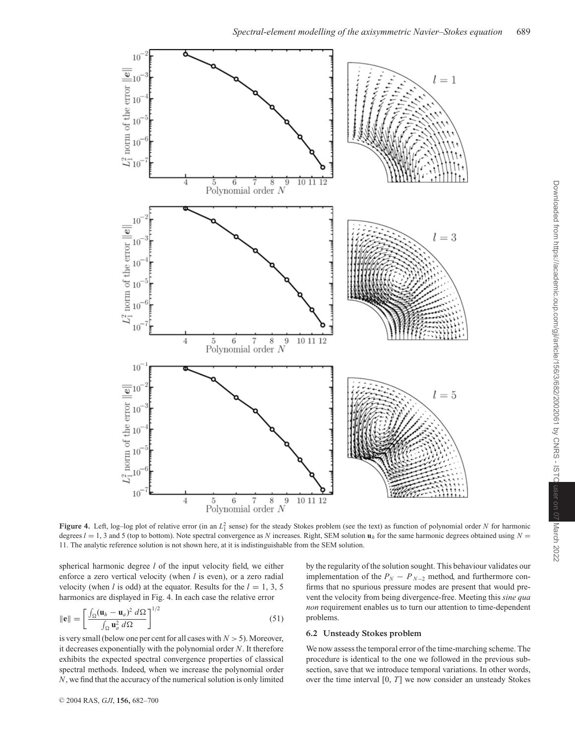

**Figure 4.** Left, log-log plot of relative error (in an  $L_1^2$  sense) for the steady Stokes problem (see the text) as function of polynomial order *N* for harmonic degrees  $l = 1$ , 3 and 5 (top to bottom). Note spectral convergence as *N* increases. Right, SEM solution  $\mathbf{u}_h$  for the same harmonic degrees obtained using  $N =$ 11. The analytic reference solution is not shown here, at it is indistinguishable from the SEM solution.

spherical harmonic degree *l* of the input velocity field, we either enforce a zero vertical velocity (when *l* is even), or a zero radial velocity (when *l* is odd) at the equator. Results for the  $l = 1, 3, 5$ harmonics are displayed in Fig. 4. In each case the relative error

$$
\|\mathbf{e}\| = \left[\frac{\int_{\Omega} (\mathbf{u}_h - \mathbf{u}_a)^2 \, d\Omega}{\int_{\Omega} \mathbf{u}_a^2 \, d\Omega}\right]^{1/2} \tag{51}
$$

is very small (below one per cent for all cases with  $N > 5$ ). Moreover, it decreases exponentially with the polynomial order *N*. It therefore exhibits the expected spectral convergence properties of classical spectral methods. Indeed, when we increase the polynomial order *N*, we find that the accuracy of the numerical solution is only limited by the regularity of the solution sought. This behaviour validates our implementation of the  $P_N - P_{N-2}$  method, and furthermore confirms that no spurious pressure modes are present that would prevent the velocity from being divergence-free. Meeting this *sine qua non* requirement enables us to turn our attention to time-dependent problems.

#### **6.2 Unsteady Stokes problem**

We now assess the temporal error of the time-marching scheme. The procedure is identical to the one we followed in the previous subsection, save that we introduce temporal variations. In other words, over the time interval [0, *T*] we now consider an unsteady Stokes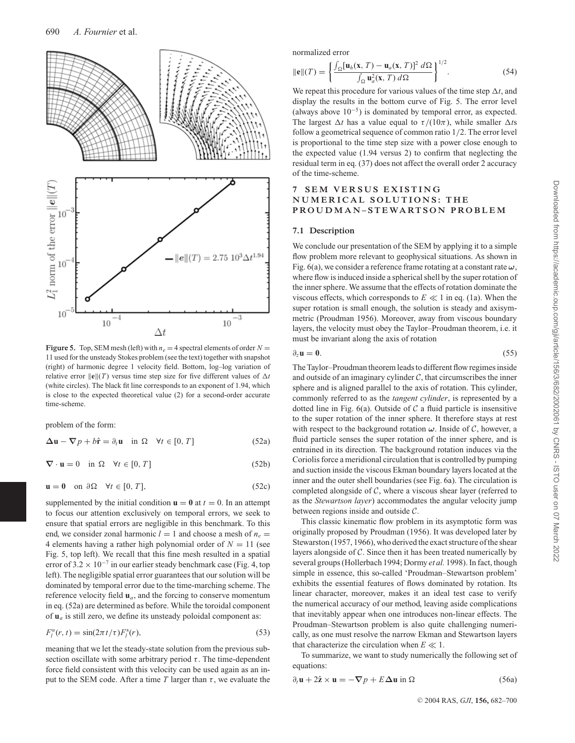

**Figure 5.** Top, SEM mesh (left) with  $n_e = 4$  spectral elements of order  $N =$ 11 used for the unsteady Stokes problem (see the text) together with snapshot (right) of harmonic degree 1 velocity field. Bottom, log–log variation of relative error  $\|\mathbf{e}\|(T)$  versus time step size for five different values of  $\Delta t$ (white circles). The black fit line corresponds to an exponent of 1.94, which is close to the expected theoretical value (2) for a second-order accurate time-scheme.

problem of the form:

$$
\Delta \mathbf{u} - \nabla p + b\hat{\mathbf{r}} = \partial_t \mathbf{u} \quad \text{in } \Omega \quad \forall t \in [0, T]
$$
 (52a)

$$
\nabla \cdot \mathbf{u} = 0 \quad \text{in } \Omega \quad \forall t \in [0, T] \tag{52b}
$$

$$
\mathbf{u} = \mathbf{0} \quad \text{on } \partial \Omega \quad \forall t \in [0, T], \tag{52c}
$$

supplemented by the initial condition  $\mathbf{u} = \mathbf{0}$  at  $t = 0$ . In an attempt to focus our attention exclusively on temporal errors, we seek to ensure that spatial errors are negligible in this benchmark. To this end, we consider zonal harmonic  $l = 1$  and choose a mesh of  $n_e =$ 4 elements having a rather high polynomial order of  $N = 11$  (see Fig. 5, top left). We recall that this fine mesh resulted in a spatial error of 3.2 × 10<sup>-7</sup> in our earlier steady benchmark case (Fig. 4, top left). The negligible spatial error guarantees that our solution will be dominated by temporal error due to the time-marching scheme. The reference velocity field **u***a*, and the forcing to conserve momentum in eq. (52a) are determined as before. While the toroidal component of **u***<sup>a</sup>* is still zero, we define its unsteady poloidal component as:

$$
F_l^u(r,t) = \sin(2\pi t/\tau) F_l^s(r),\tag{53}
$$

meaning that we let the steady-state solution from the previous subsection oscillate with some arbitrary period  $\tau$ . The time-dependent force field consistent with this velocity can be used again as an input to the SEM code. After a time *T* larger than  $\tau$ , we evaluate the normalized error

$$
\|\mathbf{e}\|(T) = \left\{ \frac{\int_{\Omega} [\mathbf{u}_h(\mathbf{x}, T) - \mathbf{u}_a(\mathbf{x}, T)]^2 \, d\Omega}{\int_{\Omega} \mathbf{u}_a^2(\mathbf{x}, T) \, d\Omega} \right\}^{1/2}.
$$
 (54)

We repeat this procedure for various values of the time step  $\Delta t$ , and display the results in the bottom curve of Fig. 5. The error level (always above  $10^{-5}$ ) is dominated by temporal error, as expected. The largest  $\Delta t$  has a value equal to  $\tau/(10\pi)$ , while smaller  $\Delta t$ s follow a geometrical sequence of common ratio 1/2. The error level is proportional to the time step size with a power close enough to the expected value (1.94 versus 2) to confirm that neglecting the residual term in eq. (37) does not affect the overall order 2 accuracy of the time-scheme.

# **7 SEM VERSUS EXISTING NUMERICAL SOLUTIONS: THE PROUDMAN – STEWARTSON PROBLEM**

### **7.1 Description**

We conclude our presentation of the SEM by applying it to a simple flow problem more relevant to geophysical situations. As shown in Fig. 6(a), we consider a reference frame rotating at a constant rate *ω*, where flow is induced inside a spherical shell by the super rotation of the inner sphere. We assume that the effects of rotation dominate the viscous effects, which corresponds to  $E \ll 1$  in eq. (1a). When the super rotation is small enough, the solution is steady and axisymmetric (Proudman 1956). Moreover, away from viscous boundary layers, the velocity must obey the Taylor–Proudman theorem, i.e. it must be invariant along the axis of rotation

$$
\partial_z \mathbf{u} = \mathbf{0}.\tag{55}
$$

The Taylor–Proudman theorem leads to different flow regimes inside and outside of an imaginary cylinder  $C$ , that circumscribes the inner sphere and is aligned parallel to the axis of rotation. This cylinder, commonly referred to as the *tangent cylinder*, is represented by a dotted line in Fig.  $6(a)$ . Outside of C a fluid particle is insensitive to the super rotation of the inner sphere. It therefore stays at rest with respect to the background rotation  $\omega$ . Inside of  $\mathcal{C}$ , however, a fluid particle senses the super rotation of the inner sphere, and is entrained in its direction. The background rotation induces via the Coriolis force a meridional circulation that is controlled by pumping and suction inside the viscous Ekman boundary layers located at the inner and the outer shell boundaries (see Fig. 6a). The circulation is completed alongside of  $C$ , where a viscous shear layer (referred to as the *Stewartson layer*) accommodates the angular velocity jump between regions inside and outside C.

This classic kinematic flow problem in its asymptotic form was originally proposed by Proudman (1956). It was developed later by Stewarston (1957, 1966), who derived the exact structure of the shear layers alongside of C. Since then it has been treated numerically by several groups (Hollerbach 1994; Dormy *et al.* 1998). In fact, though simple in essence, this so-called 'Proudman–Stewartson problem' exhibits the essential features of flows dominated by rotation. Its linear character, moreover, makes it an ideal test case to verify the numerical accuracy of our method, leaving aside complications that inevitably appear when one introduces non-linear effects. The Proudman–Stewartson problem is also quite challenging numerically, as one must resolve the narrow Ekman and Stewartson layers that characterize the circulation when  $E \ll 1$ .

To summarize, we want to study numerically the following set of equations:

$$
\partial_t \mathbf{u} + 2\hat{\mathbf{z}} \times \mathbf{u} = -\nabla p + E\Delta \mathbf{u} \text{ in } \Omega \tag{56a}
$$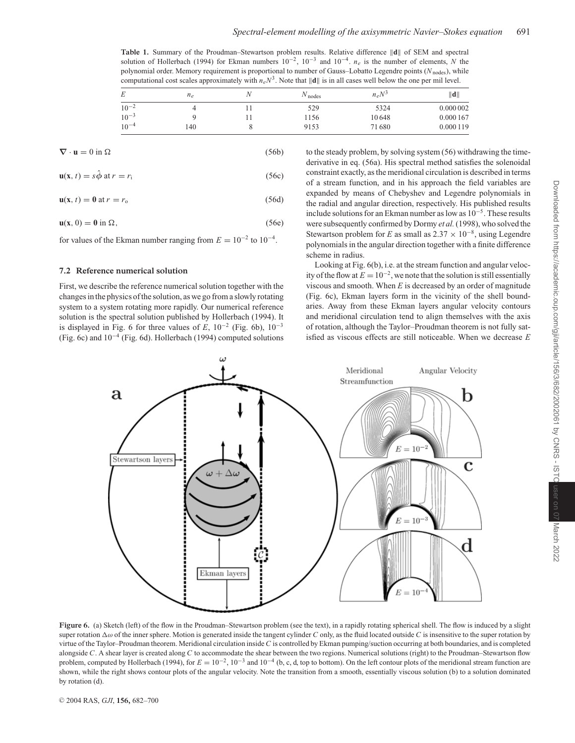Table 1. Summary of the Proudman–Stewartson problem results. Relative difference  $\|\mathbf{d}\|$  of SEM and spectral solution of Hollerbach (1994) for Ekman numbers 10<sup>−</sup>2, 10<sup>−</sup><sup>3</sup> and 10<sup>−</sup>4. *ne* is the number of elements, *N* the polynomial order. Memory requirement is proportional to number of Gauss–Lobatto Legendre points (*N*nodes), while computational cost scales approximately with  $n_eN^3$ . Note that  $\|\mathbf{d}\|$  is in all cases well below the one per mil level.

| E         | $n_e$ | Ν | $N_{\text{nodes}}$ | $n_eN^3$ | $\  \mathbf{d} \ $ |
|-----------|-------|---|--------------------|----------|--------------------|
| $10^{-2}$ |       |   | 529                | 5324     | 0.000 002          |
| $10^{-3}$ |       |   | 1156               | 10648    | 0.000 167          |
| $10^{-4}$ | 140   |   | 9153               | 71680    | 0.000 119          |

$$
\nabla \cdot \mathbf{u} = 0 \text{ in } \Omega \tag{56b}
$$

 $\mathbf{u}(\mathbf{x}, t) = s\hat{\phi}$  at  $r = r_i$  (56c)

$$
\mathbf{u}(\mathbf{x}, t) = \mathbf{0} \text{ at } r = r_0 \tag{56d}
$$

$$
\mathbf{u}(\mathbf{x},0) = \mathbf{0} \text{ in } \Omega,\tag{56e}
$$

for values of the Ekman number ranging from  $E = 10^{-2}$  to  $10^{-4}$ .

# **7.2 Reference numerical solution**

First, we describe the reference numerical solution together with the changes in the physics of the solution, as we go from a slowly rotating system to a system rotating more rapidly. Our numerical reference solution is the spectral solution published by Hollerbach (1994). It is displayed in Fig. 6 for three values of  $E$ ,  $10^{-2}$  (Fig. 6b),  $10^{-3}$ (Fig. 6c) and 10<sup>−</sup><sup>4</sup> (Fig. 6d). Hollerbach (1994) computed solutions

to the steady problem, by solving system (56) withdrawing the timederivative in eq. (56a). His spectral method satisfies the solenoidal constraint exactly, as the meridional circulation is described in terms of a stream function, and in his approach the field variables are expanded by means of Chebyshev and Legendre polynomials in the radial and angular direction, respectively. His published results include solutions for an Ekman number as low as 10<sup>−</sup>5. These results were subsequently confirmed by Dormy *et al.*(1998), who solved the Stewartson problem for *E* as small as  $2.37 \times 10^{-8}$ , using Legendre polynomials in the angular direction together with a finite difference scheme in radius.

Looking at Fig. 6(b), i.e. at the stream function and angular velocity of the flow at  $E = 10^{-2}$ , we note that the solution is still essentially viscous and smooth. When  $E$  is decreased by an order of magnitude (Fig. 6c), Ekman layers form in the vicinity of the shell boundaries. Away from these Ekman layers angular velocity contours and meridional circulation tend to align themselves with the axis of rotation, although the Taylor–Proudman theorem is not fully satisfied as viscous effects are still noticeable. When we decrease *E*



Figure 6. (a) Sketch (left) of the flow in the Proudman–Stewartson problem (see the text), in a rapidly rotating spherical shell. The flow is induced by a slight super rotation  $\Delta\omega$  of the inner sphere. Motion is generated inside the tangent cylinder *C* only, as the fluid located outside *C* is insensitive to the super rotation by virtue of the Taylor–Proudman theorem. Meridional circulation inside *C* is controlled by Ekman pumping/suction occurring at both boundaries, and is completed alongside *C*. A shear layer is created along *C* to accommodate the shear between the two regions. Numerical solutions (right) to the Proudman–Stewartson flow problem, computed by Hollerbach (1994), for  $E = 10^{-2}$ , 10<sup>-3</sup> and 10<sup>-4</sup> (b, c, d, top to bottom). On the left contour plots of the meridional stream function are shown, while the right shows contour plots of the angular velocity. Note the transition from a smooth, essentially viscous solution (b) to a solution dominated by rotation (d).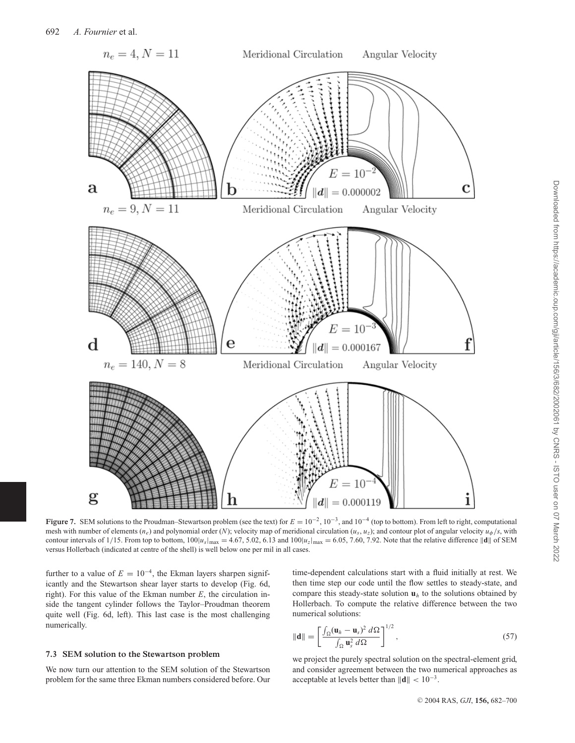

**Figure 7.** SEM solutions to the Proudman–Stewartson problem (see the text) for *E* = 10<sup>−</sup>2, 10<sup>−</sup>3, and 10<sup>−</sup><sup>4</sup> (top to bottom). From left to right, computational mesh with number of elements ( $n_e$ ) and polynomial order (*N*); velocity map of meridional circulation ( $u_s$ ,  $u_z$ ); and contour plot of angular velocity  $u_\phi/s$ , with contour intervals of 1/15. From top to bottom,  $100|u_s|_{\text{max}} = 4.67, 5.02, 6.13$  and  $100|u_z|_{\text{max}} = 6.05, 7.60, 7.92$ . Note that the relative difference  $||\mathbf{d}||$  of SEM versus Hollerbach (indicated at centre of the shell) is well below one per mil in all cases.

further to a value of  $E = 10^{-4}$ , the Ekman layers sharpen significantly and the Stewartson shear layer starts to develop (Fig. 6d, right). For this value of the Ekman number *E*, the circulation inside the tangent cylinder follows the Taylor–Proudman theorem quite well (Fig. 6d, left). This last case is the most challenging numerically.

#### **7.3 SEM solution to the Stewartson problem**

We now turn our attention to the SEM solution of the Stewartson problem for the same three Ekman numbers considered before. Our

time-dependent calculations start with a fluid initially at rest. We then time step our code until the flow settles to steady-state, and compare this steady-state solution  $\mathbf{u}_h$  to the solutions obtained by Hollerbach. To compute the relative difference between the two numerical solutions:

$$
\|\mathbf{d}\| = \left[\frac{\int_{\Omega} (\mathbf{u}_h - \mathbf{u}_s)^2 \, d\Omega}{\int_{\Omega} \mathbf{u}_s^2 \, d\Omega}\right]^{1/2},\tag{57}
$$

we project the purely spectral solution on the spectral-element grid, and consider agreement between the two numerical approaches as acceptable at levels better than  $\|\mathbf{d}\| < 10^{-3}$ .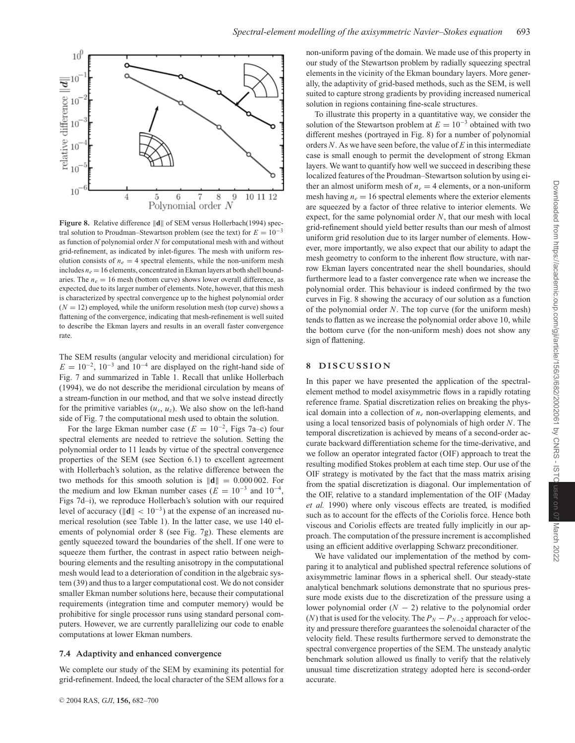

Figure 8. Relative difference  $\|\mathbf{d}\|$  of SEM versus Hollerbach(1994) spectral solution to Proudman–Stewartson problem (see the text) for  $E = 10^{-3}$ as function of polynomial order *N* for computational mesh with and without grid-refinement, as indicated by inlet-figures. The mesh with uniform resolution consists of  $n_e = 4$  spectral elements, while the non-uniform mesh includes  $n_e = 16$  elements, concentrated in Ekman layers at both shell boundaries. The  $n_e = 16$  mesh (bottom curve) shows lower overall difference, as expected, due to its larger number of elements. Note, however, that this mesh is characterized by spectral convergence up to the highest polynomial order  $(N = 12)$  employed, while the uniform resolution mesh (top curve) shows a flattening of the convergence, indicating that mesh-refinement is well suited to describe the Ekman layers and results in an overall faster convergence rate.

The SEM results (angular velocity and meridional circulation) for  $E = 10^{-2}$ ,  $10^{-3}$  and  $10^{-4}$  are displayed on the right-hand side of Fig. 7 and summarized in Table 1. Recall that unlike Hollerbach (1994), we do not describe the meridional circulation by means of a stream-function in our method, and that we solve instead directly for the primitive variables  $(u_s, u_z)$ . We also show on the left-hand side of Fig. 7 the computational mesh used to obtain the solution.

For the large Ekman number case ( $E = 10^{-2}$ , Figs 7a–c) four spectral elements are needed to retrieve the solution. Setting the polynomial order to 11 leads by virtue of the spectral convergence properties of the SEM (see Section 6.1) to excellent agreement with Hollerbach's solution, as the relative difference between the two methods for this smooth solution is  $\|\mathbf{d}\| = 0.000002$ . For the medium and low Ekman number cases ( $E = 10^{-3}$  and  $10^{-4}$ , Figs 7d–i), we reproduce Hollerbach's solution with our required level of accuracy ( $\|\mathbf{d}\| < 10^{-3}$ ) at the expense of an increased numerical resolution (see Table 1). In the latter case, we use 140 elements of polynomial order 8 (see Fig. 7g). These elements are gently squeezed toward the boundaries of the shell. If one were to squeeze them further, the contrast in aspect ratio between neighbouring elements and the resulting anisotropy in the computational mesh would lead to a deterioration of condition in the algebraic system (39) and thus to a larger computational cost. We do not consider smaller Ekman number solutions here, because their computational requirements (integration time and computer memory) would be prohibitive for single processor runs using standard personal computers. However, we are currently parallelizing our code to enable computations at lower Ekman numbers.

#### **7.4 Adaptivity and enhanced convergence**

We complete our study of the SEM by examining its potential for grid-refinement. Indeed, the local character of the SEM allows for a non-uniform paving of the domain. We made use of this property in our study of the Stewartson problem by radially squeezing spectral elements in the vicinity of the Ekman boundary layers. More generally, the adaptivity of grid-based methods, such as the SEM, is well suited to capture strong gradients by providing increased numerical solution in regions containing fine-scale structures.

To illustrate this property in a quantitative way, we consider the solution of the Stewartson problem at  $E = 10^{-3}$  obtained with two different meshes (portrayed in Fig. 8) for a number of polynomial orders *N*. As we have seen before, the value of *E* in this intermediate case is small enough to permit the development of strong Ekman layers. We want to quantify how well we succeed in describing these localized features of the Proudman–Stewartson solution by using either an almost uniform mesh of  $n_e = 4$  elements, or a non-uniform mesh having  $n_e = 16$  spectral elements where the exterior elements are squeezed by a factor of three relative to interior elements. We expect, for the same polynomial order *N*, that our mesh with local grid-refinement should yield better results than our mesh of almost uniform grid resolution due to its larger number of elements. However, more importantly, we also expect that our ability to adapt the mesh geometry to conform to the inherent flow structure, with narrow Ekman layers concentrated near the shell boundaries, should furthermore lead to a faster convergence rate when we increase the polynomial order. This behaviour is indeed confirmed by the two curves in Fig. 8 showing the accuracy of our solution as a function of the polynomial order *N*. The top curve (for the uniform mesh) tends to flatten as we increase the polynomial order above 10, while the bottom curve (for the non-uniform mesh) does not show any sign of flattening.

## **8 DISCUSSION**

In this paper we have presented the application of the spectralelement method to model axisymmetric flows in a rapidly rotating reference frame. Spatial discretization relies on breaking the physical domain into a collection of *ne* non-overlapping elements, and using a local tensorized basis of polynomials of high order *N*. The temporal discretization is achieved by means of a second-order accurate backward differentiation scheme for the time-derivative, and we follow an operator integrated factor (OIF) approach to treat the resulting modified Stokes problem at each time step. Our use of the OIF strategy is motivated by the fact that the mass matrix arising from the spatial discretization is diagonal. Our implementation of the OIF, relative to a standard implementation of the OIF (Maday *et al.* 1990) where only viscous effects are treated, is modified such as to account for the effects of the Coriolis force. Hence both viscous and Coriolis effects are treated fully implicitly in our approach. The computation of the pressure increment is accomplished using an efficient additive overlapping Schwarz preconditioner.

We have validated our implementation of the method by comparing it to analytical and published spectral reference solutions of axisymmetric laminar flows in a spherical shell. Our steady-state analytical benchmark solutions demonstrate that no spurious pressure mode exists due to the discretization of the pressure using a lower polynomial order (*N* − 2) relative to the polynomial order (*N*) that is used for the velocity. The  $P_N - P_{N-2}$  approach for velocity and pressure therefore guarantees the solenoidal character of the velocity field. These results furthermore served to demonstrate the spectral convergence properties of the SEM. The unsteady analytic benchmark solution allowed us finally to verify that the relatively unusual time discretization strategy adopted here is second-order accurate.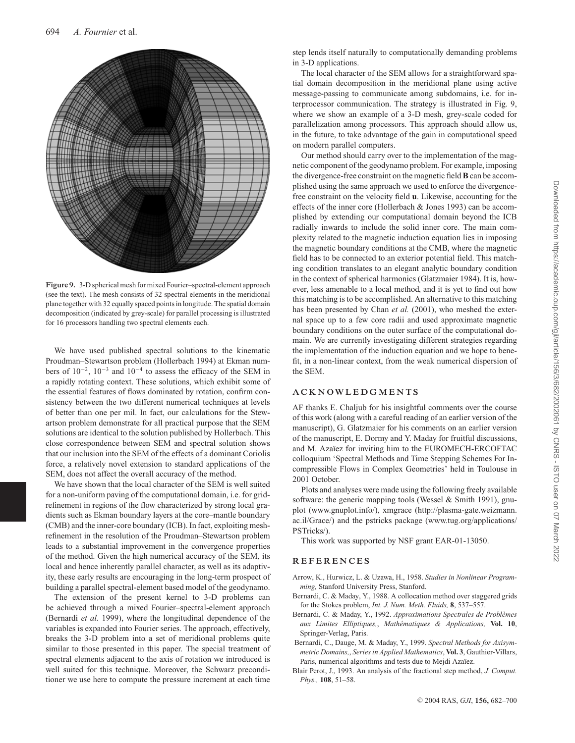

**Figure 9.** 3-D spherical mesh for mixed Fourier–spectral-element approach (see the text). The mesh consists of 32 spectral elements in the meridional plane together with 32 equally spaced points in longitude. The spatial domain decomposition (indicated by grey-scale) for parallel processing is illustrated for 16 processors handling two spectral elements each.

We have used published spectral solutions to the kinematic Proudman–Stewartson problem (Hollerbach 1994) at Ekman numbers of 10<sup>−</sup>2, 10<sup>−</sup><sup>3</sup> and 10<sup>−</sup><sup>4</sup> to assess the efficacy of the SEM in a rapidly rotating context. These solutions, which exhibit some of the essential features of flows dominated by rotation, confirm consistency between the two different numerical techniques at levels of better than one per mil. In fact, our calculations for the Stewartson problem demonstrate for all practical purpose that the SEM solutions are identical to the solution published by Hollerbach. This close correspondence between SEM and spectral solution shows that our inclusion into the SEM of the effects of a dominant Coriolis force, a relatively novel extension to standard applications of the SEM, does not affect the overall accuracy of the method.

We have shown that the local character of the SEM is well suited for a non-uniform paving of the computational domain, i.e. for gridrefinement in regions of the flow characterized by strong local gradients such as Ekman boundary layers at the core–mantle boundary (CMB) and the inner-core boundary (ICB). In fact, exploiting meshrefinement in the resolution of the Proudman–Stewartson problem leads to a substantial improvement in the convergence properties of the method. Given the high numerical accuracy of the SEM, its local and hence inherently parallel character, as well as its adaptivity, these early results are encouraging in the long-term prospect of building a parallel spectral-element based model of the geodynamo.

The extension of the present kernel to 3-D problems can be achieved through a mixed Fourier–spectral-element approach (Bernardi *et al.* 1999), where the longitudinal dependence of the variables is expanded into Fourier series. The approach, effectively, breaks the 3-D problem into a set of meridional problems quite similar to those presented in this paper. The special treatment of spectral elements adjacent to the axis of rotation we introduced is well suited for this technique. Moreover, the Schwarz preconditioner we use here to compute the pressure increment at each time

step lends itself naturally to computationally demanding problems in 3-D applications.

The local character of the SEM allows for a straightforward spatial domain decomposition in the meridional plane using active message-passing to communicate among subdomains, i.e. for interprocessor communication. The strategy is illustrated in Fig. 9, where we show an example of a 3-D mesh, grey-scale coded for parallelization among processors. This approach should allow us, in the future, to take advantage of the gain in computational speed on modern parallel computers.

Our method should carry over to the implementation of the magnetic component of the geodynamo problem. For example, imposing the divergence-free constraint on the magnetic field **B** can be accomplished using the same approach we used to enforce the divergencefree constraint on the velocity field **u**. Likewise, accounting for the effects of the inner core (Hollerbach & Jones 1993) can be accomplished by extending our computational domain beyond the ICB radially inwards to include the solid inner core. The main complexity related to the magnetic induction equation lies in imposing the magnetic boundary conditions at the CMB, where the magnetic field has to be connected to an exterior potential field. This matching condition translates to an elegant analytic boundary condition in the context of spherical harmonics (Glatzmaier 1984). It is, however, less amenable to a local method, and it is yet to find out how this matching is to be accomplished. An alternative to this matching has been presented by Chan *et al.* (2001), who meshed the external space up to a few core radii and used approximate magnetic boundary conditions on the outer surface of the computational domain. We are currently investigating different strategies regarding the implementation of the induction equation and we hope to benefit, in a non-linear context, from the weak numerical dispersion of the SEM.

#### **ACKNOWLEDGMENTS**

AF thanks E. Chaljub for his insightful comments over the course of this work (along with a careful reading of an earlier version of the manuscript), G. Glatzmaier for his comments on an earlier version of the manuscript, E. Dormy and Y. Maday for fruitful discussions, and M. Azaïez for inviting him to the EUROMECH-ERCOFTAC colloquium 'Spectral Methods and Time Stepping Schemes For Incompressible Flows in Complex Geometries' held in Toulouse in 2001 October.

Plots and analyses were made using the following freely available software: the generic mapping tools (Wessel & Smith 1991), gnuplot (www.gnuplot.info/), xmgrace (http://plasma-gate.weizmann. ac.il/Grace/) and the pstricks package (www.tug.org/applications/ PSTricks/).

This work was supported by NSF grant EAR-01-13050.

#### **REFERENCES**

- Arrow, K., Hurwicz, L. & Uzawa, H., 1958. *Studies in Nonlinear Programming,* Stanford University Press, Stanford.
- Bernardi, C. & Maday, Y., 1988. A collocation method over staggered grids for the Stokes problem, *Int. J. Num. Meth. Fluids,* **8**, 537–557.
- Bernardi, C. & Maday, Y., 1992. *Approximations Spectrales de Problèmes aux Limites Elliptiques,*, *Mathematiques & Applications, ´* **Vol. 10**, Springer-Verlag, Paris.
- Bernardi, C., Dauge, M. & Maday, Y., 1999. *Spectral Methods for Axisymmetric Domains,*, *Series in Applied Mathematics*, **Vol. 3**, Gauthier-Villars, Paris, numerical algorithms and tests due to Mejdi Azaïez.
- Blair Perot, J., 1993. An analysis of the fractional step method, *J. Comput. Phys.,* **108**, 51–58.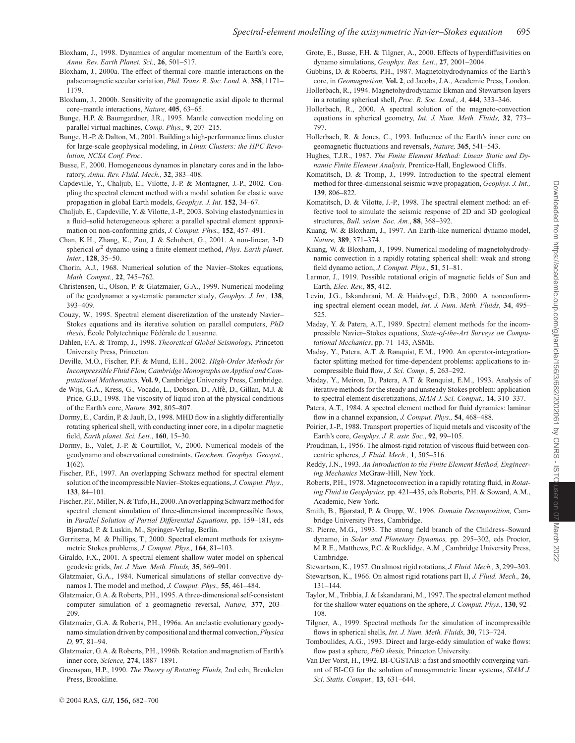- Bloxham, J., 1998. Dynamics of angular momentum of the Earth's core, *Annu. Rev. Earth Planet. Sci.,* **26**, 501–517.
- Bloxham, J., 2000a. The effect of thermal core–mantle interactions on the palaeomagnetic secular variation, *Phil. Trans. R. Soc. Lond.* A*,* **358**, 1171– 1179.
- Bloxham, J., 2000b. Sensitivity of the geomagnetic axial dipole to thermal core–mantle interactions, *Nature,* **405**, 63–65.
- Bunge, H.P. & Baumgardner, J.R., 1995. Mantle convection modeling on parallel virtual machines, *Comp. Phys.,* **9**, 207–215.
- Bunge, H.-P. & Dalton, M., 2001. Building a high-performance linux cluster for large-scale geophysical modeling, in *Linux Clusters: the HPC Revolution, NCSA Conf. Proc*.
- Busse, F., 2000. Homogeneous dynamos in planetary cores and in the laboratory, *Annu. Rev. Fluid. Mech.,* **32**, 383–408.
- Capdeville, Y., Chaljub, E., Vilotte, J.-P. & Montagner, J.-P., 2002. Coupling the spectral element method with a modal solution for elastic wave propagation in global Earth models, *Geophys. J. Int.* **152**, 34–67.
- Chaljub, E., Capdeville, Y. & Vilotte, J.-P., 2003. Solving elastodynamics in a fluid–solid heterogeneous sphere: a parallel spectral element approximation on non-conforming grids, *J. Comput. Phys.,* **152**, 457–491.
- Chan, K.H., Zhang, K., Zou, J. & Schubert, G., 2001. A non-linear, 3-D spherical  $\alpha^2$  dynamo using a finite element method, *Phys. Earth planet. Inter.*, **128**, 35–50.
- Chorin, A.J., 1968. Numerical solution of the Navier–Stokes equations, *Math. Comput.,* **22**, 745–762.
- Christensen, U., Olson, P. & Glatzmaier, G.A., 1999. Numerical modeling of the geodynamo: a systematic parameter study, *Geophys. J. Int.,* **138**, 393–409.
- Couzy, W., 1995. Spectral element discretization of the unsteady Navier– Stokes equations and its iterative solution on parallel computers, *PhD thesis,* École Polytechnique Fédérale de Lausanne.
- Dahlen, F.A. & Tromp, J., 1998. *Theoretical Global Seismology,* Princeton University Press, Princeton.
- Deville, M.O., Fischer, P.F. & Mund, E.H., 2002. *High-Order Methods for Incompressible Fluid Flow, Cambridge Monographs on Applied and Computational Mathematics,* **Vol. 9**, Cambridge University Press, Cambridge.
- de Wijs, G.A., Kress, G., Vocado, L., Dobson, D., Alfè, D., Gillan, M.J. & Price, G.D., 1998. The viscosity of liquid iron at the physical conditions of the Earth's core, *Nature,* **392**, 805–807.
- Dormy, E., Cardin, P. & Jault, D., 1998. MHD flow in a slightly differentially rotating spherical shell, with conducting inner core, in a dipolar magnetic field, *Earth planet. Sci. Lett.*, **160**, 15–30.
- Dormy, E., Valet, J.-P. & Courtillot, V., 2000. Numerical models of the geodynamo and observational constraints, *Geochem. Geophys. Geosyst.,* **1**(62).
- Fischer, P.F., 1997. An overlapping Schwarz method for spectral element solution of the incompressible Navier–Stokes equations, *J. Comput. Phys.,* **133**, 84–101.
- Fischer, P.F., Miller, N. & Tufo, H., 2000. An overlapping Schwarz method for spectral element simulation of three-dimensional incompressible flows, in *Parallel Solution of Partial Differential Equations,* pp. 159–181, eds Bjørstad, P. & Luskin, M., Springer-Verlag, Berlin.
- Gerritsma, M. & Phillips, T., 2000. Spectral element methods for axisymmetric Stokes problems, *J. Comput. Phys.,* **164**, 81–103.
- Giraldo, F.X., 2001. A spectral element shallow water model on spherical geodesic grids, *Int. J. Num. Meth. Fluids,* **35**, 869–901.
- Glatzmaier, G.A., 1984. Numerical simulations of stellar convective dynamos I. The model and method, *J. Comput. Phys.,* **55**, 461–484.
- Glatzmaier, G.A. & Roberts, P.H., 1995. A three-dimensional self-consistent computer simulation of a geomagnetic reversal, *Nature,* **377**, 203– 209.
- Glatzmaier, G.A. & Roberts, P.H., 1996a. An anelastic evolutionary geodynamo simulation driven by compositional and thermal convection,*Physica D,* **97**, 81–94.
- Glatzmaier, G.A. & Roberts, P.H., 1996b. Rotation and magnetism of Earth's inner core, *Science,* **274**, 1887–1891.
- Greenspan, H.P., 1990. *The Theory of Rotating Fluids,* 2nd edn, Breukelen Press, Brookline.
- <sup>C</sup> 2004 RAS, *GJI*, **156,** 682–700
- Grote, E., Busse, F.H. & Tilgner, A., 2000. Effects of hyperdiffusivities on dynamo simulations, *Geophys. Res. Lett.*, **27**, 2001–2004.
- Gubbins, D. & Roberts, P.H., 1987. Magnetohydrodynamics of the Earth's core, in *Geomagnetism,* **Vol. 2**, ed Jacobs, J.A., Academic Press, London.
- Hollerbach, R., 1994. Magnetohydrodynamic Ekman and Stewartson layers in a rotating spherical shell, *Proc. R. Soc. Lond., A,* **444**, 333–346.
- Hollerbach, R., 2000. A spectral solution of the magneto-convection equations in spherical geometry, *Int. J. Num. Meth. Fluids,* **32**, 773– 797.
- Hollerbach, R. & Jones, C., 1993. Influence of the Earth's inner core on geomagnetic fluctuations and reversals, *Nature,* **365**, 541–543.
- Hughes, T.J.R., 1987. *The Finite Element Method: Linear Static and Dynamic Finite Element Analysis,* Prentice-Hall, Englewood Cliffs.
- Komatitsch, D. & Tromp, J., 1999. Introduction to the spectral element method for three-dimensional seismic wave propagation, *Geophys. J. Int.,* **139**, 806–822.
- Komatitsch, D. & Vilotte, J.-P., 1998. The spectral element method: an effective tool to simulate the seismic response of 2D and 3D geological structures, *Bull. seism. Soc. Am.*, **88**, 368–392.
- Kuang, W. & Bloxham, J., 1997. An Earth-like numerical dynamo model, *Nature,* **389**, 371–374.
- Kuang, W. & Bloxham, J., 1999. Numerical modeling of magnetohydrodynamic convection in a rapidly rotating spherical shell: weak and strong field dynamo action, *J. Comput. Phys.,* **51**, 51–81.
- Larmor, J., 1919. Possible rotational origin of magnetic fields of Sun and Earth, *Elec. Rev.,* **85**, 412.
- Levin, J.G., Iskandarani, M. & Haidvogel, D.B., 2000. A nonconforming spectral element ocean model, *Int. J. Num. Meth. Fluids,* **34**, 495– 525.
- Maday, Y. & Patera, A.T., 1989. Spectral element methods for the incompressible Navier–Stokes equations, *State-of-the-Art Surveys on Computational Mechanics*, pp. 71–143, ASME.
- Maday, Y., Patera, A.T. & Rønquist, E.M., 1990. An operator-integrationfactor splitting method for time-dependent problems: applications to incompressible fluid flow, *J. Sci. Comp.,* **5**, 263–292.
- Maday, Y., Meiron, D., Patera, A.T. & Rønquist, E.M., 1993. Analysis of iterative methods for the steady and unsteady Stokes problem: application to spectral element discretizations, *SIAM J. Sci. Comput.,* **14**, 310–337.
- Patera, A.T., 1984. A spectral element method for fluid dynamics: laminar flow in a channel expansion, *J. Comput. Phys.,* **54**, 468–488.
- Poirier, J.-P., 1988. Transport properties of liquid metals and viscosity of the Earth's core, *Geophys. J. R. astr. Soc.*, **92**, 99–105.
- Proudman, I., 1956. The almost-rigid rotation of viscous fluid between concentric spheres, *J. Fluid. Mech.,* **1**, 505–516.
- Reddy, J.N., 1993. *An Introduction to the Finite Element Method, Engineering Mechanics* McGraw-Hill, New York.
- Roberts, P.H., 1978. Magnetoconvection in a rapidly rotating fluid, in *Rotating Fluid in Geophysics,* pp. 421–435, eds Roberts, P.H. & Soward, A.M., Academic, New York.
- Smith, B., Bjørstad, P. & Gropp, W., 1996. *Domain Decomposition,* Cambridge University Press, Cambridge.
- St. Pierre, M.G., 1993. The strong field branch of the Childress–Soward dynamo, in *Solar and Planetary Dynamos,* pp. 295–302, eds Proctor, M.R.E., Matthews, P.C. & Rucklidge, A.M., Cambridge University Press, Cambridge.
- Stewartson, K., 1957. On almost rigid rotations, *J. Fluid. Mech.,* **3**, 299–303.
- Stewartson, K., 1966. On almost rigid rotations part II, *J. Fluid. Mech.,* **26**, 131–144.
- Taylor, M., Tribbia, J. & Iskandarani, M., 1997. The spectral element method for the shallow water equations on the sphere, *J. Comput. Phys.,* **130**, 92– 108.
- Tilgner, A., 1999. Spectral methods for the simulation of incompressible flows in spherical shells, *Int. J. Num. Meth. Fluids,* **30**, 713–724.
- Tomboulides, A.G., 1993. Direct and large-eddy simulation of wake flows: flow past a sphere, *PhD thesis,* Princeton University.
- Van Der Vorst, H., 1992. BI-CGSTAB: a fast and smoothly converging variant of BI-CG for the solution of nonsymmetric linear systems, *SIAM J. Sci. Statis. Comput.,* **13**, 631–644.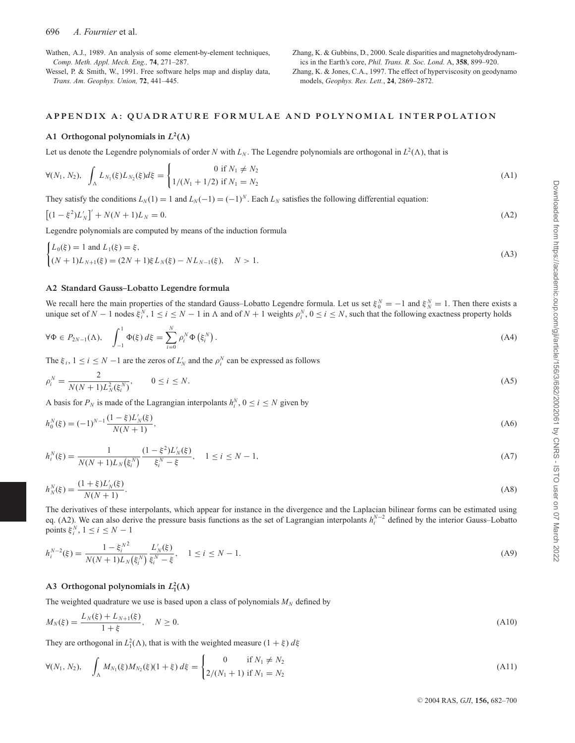## 696 *A. Fournier* et al.

Wathen, A.J., 1989. An analysis of some element-by-element techniques, *Comp. Meth. Appl. Mech. Eng.,* **74**, 271–287.

Wessel, P. & Smith, W., 1991. Free software helps map and display data, *Trans. Am. Geophys. Union,* **72**, 441–445.

Zhang, K. & Gubbins, D., 2000. Scale disparities and magnetohydrodynamics in the Earth's core, *Phil. Trans. R. Soc. Lond.* A, **358**, 899–920. Zhang, K. & Jones, C.A., 1997. The effect of hyperviscosity on geodynamo models, *Geophys. Res. Lett.*, **24**, 2869–2872.

# **APPENDIX A: QUADRATURE FORMULAE AND POLYNOMIAL INTERPOLATION**

#### **A1** Orthogonal polynomials in  $L^2(\Lambda)$

Let us denote the Legendre polynomials of order *N* with  $L_N$ . The Legendre polynomials are orthogonal in  $L^2(\Lambda)$ , that is

$$
\forall (N_1, N_2), \quad \int_{\Lambda} L_{N_1}(\xi) L_{N_2}(\xi) d\xi = \begin{cases} 0 \text{ if } N_1 \neq N_2 \\ 1/(N_1 + 1/2) \text{ if } N_1 = N_2 \end{cases} \tag{A1}
$$

They satisfy the conditions  $L_N(1) = 1$  and  $L_N(-1) = (-1)^N$ . Each  $L_N$  satisfies the following differential equation:

$$
\left[ (1 - \xi^2) L'_N \right]' + N(N + 1) L_N = 0. \tag{A2}
$$

Legendre polynomials are computed by means of the induction formula

$$
\begin{cases} L_0(\xi) = 1 \text{ and } L_1(\xi) = \xi, \\ (N+1)L_{N+1}(\xi) = (2N+1)\xi L_N(\xi) - NL_{N-1}(\xi), \quad N > 1. \end{cases}
$$
\n(A3)

#### **A2 Standard Gauss–Lobatto Legendre formula**

We recall here the main properties of the standard Gauss–Lobatto Legendre formula. Let us set  $\xi_0^N = -1$  and  $\xi_N^N = 1$ . Then there exists a unique set of *N* − 1 nodes  $\xi_i^N$ ,  $1 \le i \le N - 1$  in  $\Lambda$  and of *N* + 1 weights  $\rho_i^N$ ,  $0 \le i \le N$ , such that the following exactness property holds

$$
\forall \Phi \in P_{2N-1}(\Lambda), \quad \int_{-1}^{1} \Phi(\xi) \, d\xi = \sum_{i=0}^{N} \rho_i^N \Phi(\xi_i^N). \tag{A4}
$$

The  $\xi_i$ ,  $1 \le i \le N - 1$  are the zeros of  $L'_N$  and the  $\rho_i^N$  can be expressed as follows

$$
\rho_i^N = \frac{2}{N(N+1)L_N^2(\xi_i^N)}, \qquad 0 \le i \le N. \tag{A5}
$$

A basis for  $P_N$  is made of the Lagrangian interpolants  $h_i^N$ ,  $0 \le i \le N$  given by

$$
h_0^N(\xi) = (-1)^{N-1} \frac{(1-\xi)L'_N(\xi)}{N(N+1)},
$$
\n(A6)

$$
h_i^N(\xi) = \frac{1}{N(N+1)L_N(\xi_i^N)} \frac{(1-\xi^2)L'_N(\xi)}{\xi_i^N - \xi}, \quad 1 \le i \le N-1,
$$
\n(A7)

$$
h_N^N(\xi) = \frac{(1+\xi)L'_N(\xi)}{N(N+1)}.
$$
\n(A8)

The derivatives of these interpolants, which appear for instance in the divergence and the Laplacian bilinear forms can be estimated using eq. (A2). We can also derive the pressure basis functions as the set of Lagrangian interpolants  $h_i^{N-2}$  defined by the interior Gauss–Lobatto points  $\xi_i^N$ ,  $1 \le i \le N - 1$ 

$$
h_i^{N-2}(\xi) = \frac{1 - \xi_i^{N^2}}{N(N+1)L_N(\xi_i^N)} \frac{L'_N(\xi)}{\xi_i^N - \xi}, \quad 1 \le i \le N-1.
$$
 (A9)

# **A3** Orthogonal polynomials in  $L_1^2(\Lambda)$

The weighted quadrature we use is based upon a class of polynomials  $M_N$  defined by

$$
M_N(\xi) = \frac{L_N(\xi) + L_{N+1}(\xi)}{1 + \xi}, \quad N \ge 0.
$$
\n(A10)

They are orthogonal in  $L_1^2(\Lambda)$ , that is with the weighted measure  $(1 + \xi) d\xi$ 

$$
\forall (N_1, N_2), \quad \int_{\Lambda} M_{N_1}(\xi) M_{N_2}(\xi) (1 + \xi) \, d\xi = \begin{cases} 0 & \text{if } N_1 \neq N_2 \\ 2/(N_1 + 1) & \text{if } N_1 = N_2 \end{cases} \tag{A11}
$$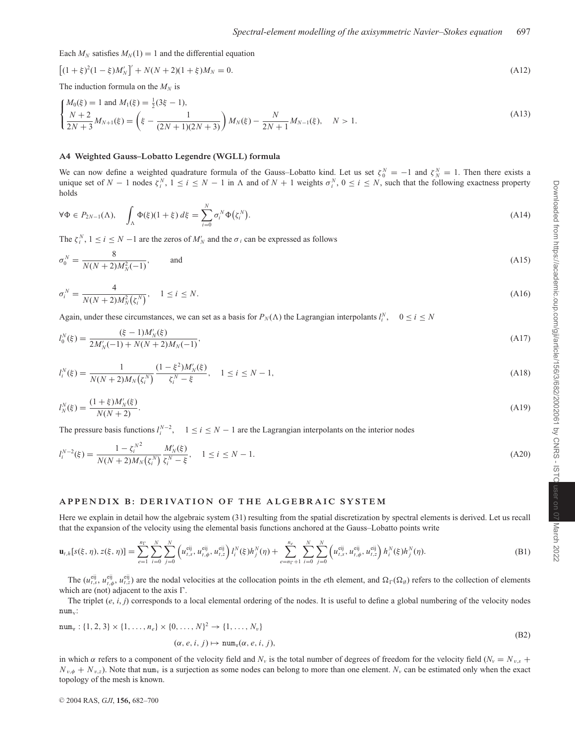Each  $M_N$  satisfies  $M_N(1) = 1$  and the differential equation

$$
[(1+\xi)^2(1-\xi)M'_N]' + N(N+2)(1+\xi)M_N = 0.
$$
\n(A12)

The induction formula on the  $M_N$  is

$$
\begin{cases}\nM_0(\xi) = 1 \text{ and } M_1(\xi) = \frac{1}{2}(3\xi - 1), \\
\frac{N+2}{2N+3}M_{N+1}(\xi) = \left(\xi - \frac{1}{(2N+1)(2N+3)}\right)M_N(\xi) - \frac{N}{2N+1}M_{N-1}(\xi), \quad N > 1.\n\end{cases} \tag{A13}
$$

#### **A4 Weighted Gauss–Lobatto Legendre (WGLL) formula**

We can now define a weighted quadrature formula of the Gauss–Lobatto kind. Let us set  $\zeta_0^N = -1$  and  $\zeta_N^N = 1$ . Then there exists a unique set of  $N-1$  nodes  $\zeta_i^N$ ,  $1 \le i \le N-1$  in  $\Lambda$  and of  $N+1$  weights  $\sigma_i^N$ ,  $0 \le i \le N$ , such that the following exactness property holds

$$
\forall \Phi \in P_{2N-1}(\Lambda), \quad \int_{\Lambda} \Phi(\xi)(1+\xi) d\xi = \sum_{i=0}^{N} \sigma_i^N \Phi(\zeta_i^N). \tag{A14}
$$

The  $\zeta_i^N$ ,  $1 \le i \le N - 1$  are the zeros of  $M'_N$  and the  $\sigma_i$  can be expressed as follows

$$
\sigma_0^N = \frac{8}{N(N+2)M_N^2(-1)}, \quad \text{and} \quad (A15)
$$

$$
\sigma_i^N = \frac{4}{N(N+2)M_N^2(\zeta_i^N)}, \quad 1 \le i \le N. \tag{A16}
$$

Again, under these circumstances, we can set as a basis for  $P_N(\Lambda)$  the Lagrangian interpolants  $l_i^N$ ,  $0 \le i \le N$ 

$$
I_0^N(\xi) = \frac{(\xi - 1)M_N'(\xi)}{2M_N'(-1) + N(N + 2)M_N(-1)},
$$
\n(A17)

$$
l_i^N(\xi) = \frac{1}{N(N+2)M_N(\xi_i^N)} \frac{(1-\xi^2)M'_N(\xi)}{\xi_i^N - \xi}, \quad 1 \le i \le N-1,
$$
\n(A18)

$$
l_N^N(\xi) = \frac{(1+\xi)M_N'(\xi)}{N(N+2)}.\tag{A19}
$$

The pressure basis functions  $l_i^{N-2}$ ,  $1 \le i \le N-1$  are the Lagrangian interpolants on the interior nodes

$$
l_i^{N-2}(\xi) = \frac{1 - {\zeta_i}^{N^2}}{N(N+2)M_N(\zeta_i^N)} \frac{M'_N(\xi)}{\zeta_i^N - \xi}, \quad 1 \le i \le N-1.
$$
\n(A20)

# **APPENDIX B: DERIVATION OF THE ALGEBRAIC SYSTEM**

Here we explain in detail how the algebraic system (31) resulting from the spatial discretization by spectral elements is derived. Let us recall that the expansion of the velocity using the elemental basis functions anchored at the Gauss–Lobatto points write

$$
\mathbf{u}_{t,h}[s(\xi,\eta),z(\xi,\eta)] = \sum_{e=1}^{n_{\Gamma}} \sum_{i=0}^{N} \sum_{j=0}^{N} \left( u_{t,s}^{\text{eij}}, u_{t,\phi}^{\text{eij}}, u_{t,z}^{\text{eij}} \right) l_{i}^{N}(\xi) h_{j}^{N}(\eta) + \sum_{e=n_{\Gamma}+1}^{n_{e}} \sum_{i=0}^{N} \sum_{j=0}^{N} \left( u_{t,s}^{\text{eij}}, u_{t,\phi}^{\text{eij}}, u_{t,z}^{\text{eij}} \right) h_{i}^{N}(\xi) h_{j}^{N}(\eta). \tag{B1}
$$

The  $(u_{t,s}^{eij}, u_{t,\phi}^{eij}, u_{t,z}^{eij})$  are the nodal velocities at the collocation points in the *e*th element, and  $\Omega_{\Gamma}(\Omega_{\emptyset})$  refers to the collection of elements which are (not) adjacent to the axis  $\Gamma$ .

The triplet (*e*, *i*, *j*) corresponds to a local elemental ordering of the nodes. It is useful to define a global numbering of the velocity nodes  $num_v$ :

$$
\text{num}_{\mathbf{v}} : \{1, 2, 3\} \times \{1, \dots, n_e\} \times \{0, \dots, N\}^2 \to \{1, \dots, N_{\mathbf{v}}\}
$$
\n
$$
(\alpha, e, i, j) \mapsto \text{num}_{\mathbf{v}}(\alpha, e, i, j),
$$
\n(B2)

in which  $\alpha$  refers to a component of the velocity field and  $N_v$  is the total number of degrees of freedom for the velocity field ( $N_v = N_{v,s}$  +  $N_{v,\phi} + N_{v,z}$ ). Note that num<sub>v</sub> is a surjection as some nodes can belong to more than one element.  $N_v$  can be estimated only when the exact topology of the mesh is known.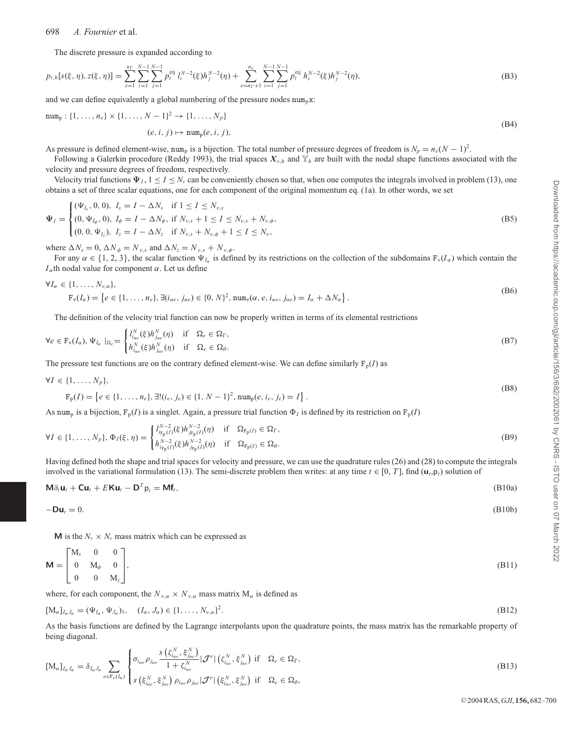#### 698 *A. Fournier* et al.

The discrete pressure is expanded according to

$$
p_{t,h}[s(\xi,\eta),z(\xi,\eta)] = \sum_{e=1}^{n_{\Gamma}}\sum_{i=1}^{N-1}\sum_{j=1}^{N-1}p_{t}^{eij}l_{i}^{N-2}(\xi)h_{j}^{N-2}(\eta) + \sum_{e=n_{\Gamma}+1}^{n_{e}}\sum_{i=1}^{N-1}\sum_{j=1}^{N-1}p_{t}^{eij}h_{i}^{N-2}(\xi)h_{j}^{N-2}(\eta),
$$
\n(B3)

and we can define equivalently a global numbering of the pressure nodes  $num_n x$ :

num<sub>p</sub> : {1, ..., n<sub>e</sub>} × {1, ..., N – 1}<sup>2</sup> → {1, ..., N<sub>p</sub>}  
(e, i, j) 
$$
\mapsto
$$
 num<sub>p</sub>(e, i, j), (B4)

As pressure is defined element-wise, num<sub>p</sub> is a bijection. The total number of pressure degrees of freedom is  $N_p = n_e(N - 1)^2$ .

Following a Galerkin procedure (Reddy 1993), the trial spaces  $X_{\diamond,h}$  and  $Y_h$  are built with the nodal shape functions associated with the velocity and pressure degrees of freedom, respectively.

Velocity trial functions  $\Psi_I$ ,  $1 \leq I \leq N_v$  can be conveniently chosen so that, when one computes the integrals involved in problem (13), one obtains a set of three scalar equations, one for each component of the original momentum eq. (1a). In other words, we set

$$
\Psi_{I} = \begin{cases}\n(\Psi_{I_{s}}, 0, 0), I_{s} = I - \Delta N_{s} & \text{if } 1 \leq I \leq N_{v,s} \\
(0, \Psi_{I_{\phi}}, 0), I_{\phi} = I - \Delta N_{\phi}, & \text{if } N_{v,s} + 1 \leq I \leq N_{v,s} + N_{v,\phi}, \\
(0, 0, \Psi_{I_{z}}), I_{z} = I - \Delta N_{z} & \text{if } N_{v,s} + N_{v,\phi} + 1 \leq I \leq N_{v},\n\end{cases}
$$
\n(B5)

where  $\Delta N_s = 0$ ,  $\Delta N_{\phi} = N_{v,s}$  and  $\Delta N_z = N_{v,s} + N_{v,\phi}$ .

For any  $\alpha \in \{1, 2, 3\}$ , the scalar function  $\Psi_{I_{\alpha}}$  is defined by its restrictions on the collection of the subdomains  $F_v(I_{\alpha})$  which contain the  $I_{\alpha}$ th nodal value for component  $\alpha$ . Let us define

$$
\forall I_{\alpha} \in \{1, ..., N_{v,\alpha}\},\
$$
  
\n
$$
\mathbf{F}_{\mathbf{v}}(I_{\alpha}) = \{e \in \{1, ..., n_e\}, \exists (i_{\alpha e}, j_{\alpha e}) \in \{0, N\}^2, \text{num}_{\mathbf{v}}(\alpha, e, i_{\alpha e}, j_{\alpha e}) = I_{\alpha} + \Delta N_{\alpha}\}.
$$
\n(B6)

The definition of the velocity trial function can now be properly written in terms of its elemental restrictions

$$
\forall e \in \mathcal{F}_{\mathbf{v}}(I_{\alpha}), \Psi_{I_{\alpha}} \mid_{\Omega_{e}} = \begin{cases} l_{ice}^{N}(f_{\beta})h_{ice}^{N}(\eta) & \text{if } \Omega_{e} \in \Omega_{\Gamma}, \\ h_{ice}^{N}(f_{\beta})h_{ice}^{N}(\eta) & \text{if } \Omega_{e} \in \Omega_{\beta}. \end{cases}
$$
(B7)

The pressure test functions are on the contrary defined element-wise. We can define similarly  $F_p(I)$  as

$$
\forall I \in \{1, \ldots, N_p\},\tag{B}
$$

$$
\mathbf{F}_{\mathbf{p}}(I) = \left\{ e \in \{1, \dots, n_e\}, \exists! (i_e, j_e) \in \{1, N - 1\}^2, \text{num}_{\mathbf{p}}(e, i_e, j_e) = I \right\}. \tag{B8}
$$

As num<sub>p</sub> is a bijection,  $F_p(I)$  is a singlet. Again, a pressure trial function  $\Phi_I$  is defined by its restriction on  $F_p(I)$ 

$$
\forall I \in \{1, ..., N_p\}, \Phi_I(\xi, \eta) = \begin{cases} I_{i_{\mathcal{F}_p}(I)}^{N-2}(5)h_{j_{\mathcal{F}_p}(I)}^{N-2}(0) & \text{if } \Omega_{\mathcal{F}_p(I)} \in \Omega_{\Gamma}, \\ h_{i_{\mathcal{F}_p}(I)}^{N-2}(5)h_{j_{\mathcal{F}_p}(I)}^{N-2}(0) & \text{if } \Omega_{\mathcal{F}_p(I)} \in \Omega_{\emptyset}. \end{cases}
$$
(B9)

Having defined both the shape and trial spaces for velocity and pressure, we can use the quadrature rules (26) and (28) to compute the integrals involved in the variational formulation (13). The semi-discrete problem then writes: at any time  $t \in [0, T]$ , find  $(\mathbf{u}_t, \mathbf{p}_t)$  solution of

$$
M\partial_t \mathbf{u}_t + \mathbf{C} \mathbf{u}_t + E \mathbf{K} \mathbf{u}_t - \mathbf{D}^T \mathbf{p}_t = \mathbf{M} \mathbf{f}_t,
$$
\n(B10a)

$$
-\mathbf{D}\mathbf{u}_t = 0. \tag{B10b}
$$

**M** is the  $N_v \times N_v$  mass matrix which can be expressed as

$$
\mathbf{M} = \begin{bmatrix} M_s & 0 & 0 \\ 0 & M_{\phi} & 0 \\ 0 & 0 & M_{z} \end{bmatrix},
$$
 (B11)

where, for each component, the  $N_{v,\alpha} \times N_{v,\alpha}$  mass matrix  $M_{\alpha}$  is defined as

$$
[M_{\alpha}]_{I_{\alpha},I_{\alpha}} = (\Psi_{I_{\alpha}}, \Psi_{J_{\alpha}})_1, \quad (I_{\alpha}, J_{\alpha}) \in \{1, \dots, N_{\nu,\alpha}\}^2.
$$
\n(B12)

As the basis functions are defined by the Lagrange interpolants upon the quadrature points, the mass matrix has the remarkable property of being diagonal.

$$
[\mathbf{M}_{\alpha}]_{I_{\alpha},I_{\alpha}} = \delta_{I_{\alpha},I_{\alpha}} \sum_{e \in \mathbf{F}_{v}(I_{\alpha})} \begin{cases} \sigma_{i_{\alpha e}} \rho_{j_{\alpha e}} \frac{s(\zeta_{i_{\alpha e}}^{N}, \xi_{j_{\alpha e}}^{N})}{1 + \zeta_{i_{\alpha e}}^{N}} |\mathcal{J}^{e}| (\zeta_{i_{\alpha e}}^{N}, \xi_{j_{\alpha e}}^{N}) \text{ if } \Omega_{e} \in \Omega_{\Gamma}, \\ s(\xi_{i_{\alpha e}}^{N}, \xi_{j_{\alpha e}}^{N}) \rho_{i_{\alpha e}} \rho_{j_{\alpha e}} |\mathcal{J}^{e}| (\xi_{i_{\alpha e}}^{N}, \xi_{j_{\alpha e}}^{N}) \text{ if } \Omega_{e} \in \Omega_{\emptyset}, \end{cases} (B13)
$$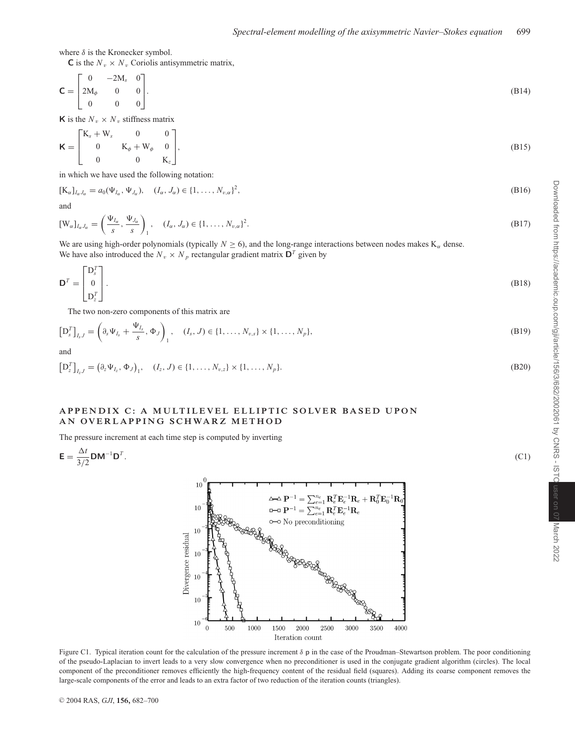where  $\delta$  is the Kronecker symbol.

**C** is the  $N_v \times N_v$  Coriolis antisymmetric matrix,

$$
\mathbf{C} = \begin{bmatrix} 0 & -2M_s & 0 \\ 2M_{\phi} & 0 & 0 \\ 0 & 0 & 0 \end{bmatrix} . \tag{B14}
$$

**K** is the  $N_v \times N_v$  stiffness matrix

$$
\mathbf{K} = \begin{bmatrix} \mathbf{K}_s + \mathbf{W}_s & 0 & 0 \\ 0 & \mathbf{K}_\phi + \mathbf{W}_\phi & 0 \\ 0 & 0 & \mathbf{K}_z \end{bmatrix},\tag{B15}
$$

in which we have used the following notation:

$$
[\mathbf{K}_{\alpha}]_{I_{\alpha}J_{\alpha}} = a_0(\Psi_{I_{\alpha}}, \Psi_{J_{\alpha}}), \quad (I_{\alpha}, J_{\alpha}) \in \{1, \dots, N_{v,\alpha}\}^2,
$$
\n(B16)

and

$$
[W_{\alpha}]_{I_{\alpha},I_{\alpha}} = \left(\frac{\Psi_{I_{\alpha}}}{s}, \frac{\Psi_{J_{\alpha}}}{s}\right)_1, \quad (I_{\alpha}, J_{\alpha}) \in \{1, \dots, N_{\nu, \alpha}\}^2.
$$
 (B17)

We are using high-order polynomials (typically  $N \ge 6$ ), and the long-range interactions between nodes makes K<sub> $\alpha$ </sub> dense. We have also introduced the  $N_v \times N_p$  rectangular gradient matrix  $\mathbf{D}^T$  given by

$$
\mathbf{D}^T = \begin{bmatrix} \mathbf{D}_s^T \\ 0 \\ \mathbf{D}_z^T \end{bmatrix} .
$$
 (B18)

The two non-zero components of this matrix are

$$
\left[D_s^T\right]_{I_sJ} = \left(\partial_s \Psi_{I_s} + \frac{\Psi_{I_s}}{s}, \Phi_J\right)_1, \quad (I_s, J) \in \{1, \dots, N_{v,s}\} \times \{1, \dots, N_p\},\tag{B19}
$$

and

$$
\left[D_z^T\right]_{I_zJ} = \left(\partial_z \Psi_{I_z}, \Phi_J\right)_1, \quad (I_z, J) \in \{1, \dots, N_{v,z}\} \times \{1, \dots, N_p\}.
$$
\n(B20)

# **APPENDIX C: A MULTILEVEL ELLIPTIC SOLVER BASED UPON AN OVERLAPPING SCHWARZ METHOD**

The pressure increment at each time step is computed by inverting

$$
\mathbf{E} = \frac{\Delta t}{3/2} \mathbf{D} \mathbf{M}^{-1} \mathbf{D}^T. \tag{C1}
$$



Figure C1. Typical iteration count for the calculation of the pressure increment  $\delta$  p in the case of the Proudman–Stewartson problem. The poor conditioning of the pseudo-Laplacian to invert leads to a very slow convergence when no preconditioner is used in the conjugate gradient algorithm (circles). The local component of the preconditioner removes efficiently the high-frequency content of the residual field (squares). Adding its coarse component removes the large-scale components of the error and leads to an extra factor of two reduction of the iteration counts (triangles).